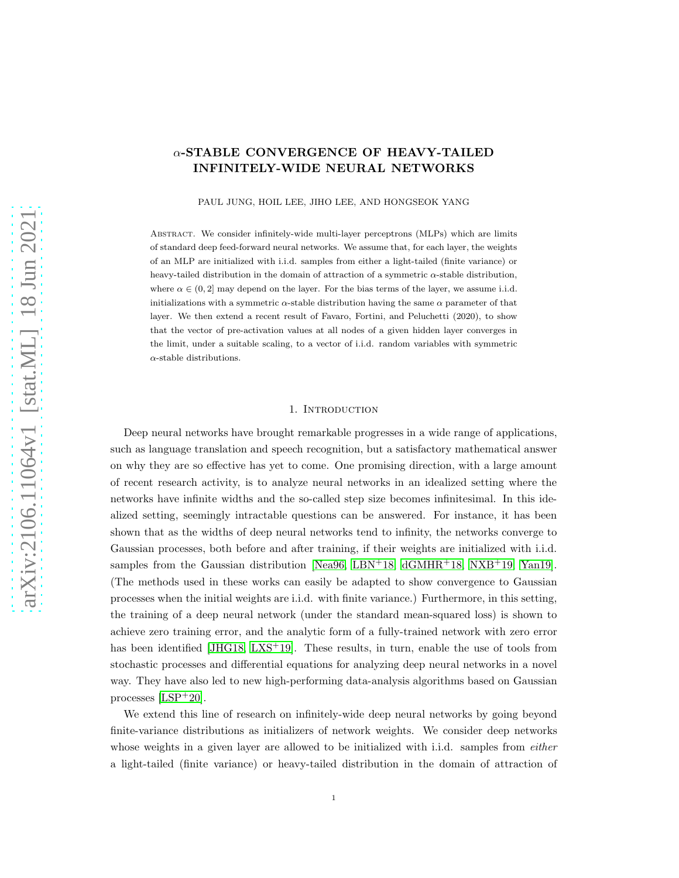# α-STABLE CONVERGENCE OF HEAVY-TAILED INFINITELY-WIDE NEURAL NETWORKS

PAUL JUNG, HOIL LEE, JIHO LEE, AND HONGSEOK YANG

Abstract. We consider infinitely-wide multi-layer perceptrons (MLPs) which are limits of standard deep feed-forward neural networks. We assume that, for each layer, the weights of an MLP are initialized with i.i.d. samples from either a light-tailed (finite variance) or heavy-tailed distribution in the domain of attraction of a symmetric  $\alpha$ -stable distribution, where  $\alpha \in (0, 2]$  may depend on the layer. For the bias terms of the layer, we assume i.i.d. initializations with a symmetric  $\alpha$ -stable distribution having the same  $\alpha$  parameter of that layer. We then extend a recent result of Favaro, Fortini, and Peluchetti (2020), to show that the vector of pre-activation values at all nodes of a given hidden layer converges in the limit, under a suitable scaling, to a vector of i.i.d. random variables with symmetric  $\alpha$ -stable distributions.

### 1. INTRODUCTION

Deep neural networks have brought remarkable progresses in a wide range of applications, such as language translation and speech recognition, but a satisfactory mathematical answer on why they are so effective has yet to come. One promising direction, with a large amount of recent research activity, is to analyze neural networks in an idealized setting where the networks have infinite widths and the so-called step size becomes infinitesimal. In this idealized setting, seemingly intractable questions can be answered. For instance, it has been shown that as the widths of deep neural networks tend to infinity, the networks converge to Gaussian processes, both before and after training, if their weights are initialized with i.i.d. samples from the Gaussian distribution [\[Nea96,](#page-24-0) [LBN](#page-24-1)+18, [dGMHR](#page-23-0)+18, [NXB](#page-24-2)+19, [Yan19\]](#page-24-3). (The methods used in these works can easily be adapted to show convergence to Gaussian processes when the initial weights are i.i.d. with finite variance.) Furthermore, in this setting, the training of a deep neural network (under the standard mean-squared loss) is shown to achieve zero training error, and the analytic form of a fully-trained network with zero error has been identified [\[JHG18,](#page-23-1) [LXS](#page-24-4)<sup>+</sup>19]. These results, in turn, enable the use of tools from stochastic processes and differential equations for analyzing deep neural networks in a novel way. They have also led to new high-performing data-analysis algorithms based on Gaussian processes [\[LSP](#page-24-5)+20].

We extend this line of research on infinitely-wide deep neural networks by going beyond finite-variance distributions as initializers of network weights. We consider deep networks whose weights in a given layer are allowed to be initialized with i.i.d. samples from *either* a light-tailed (finite variance) or heavy-tailed distribution in the domain of attraction of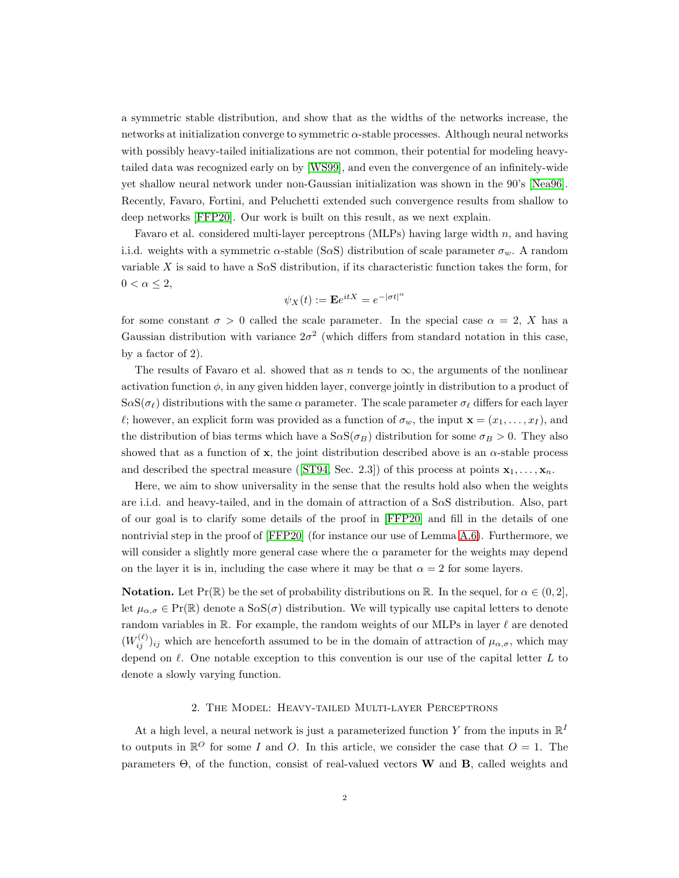a symmetric stable distribution, and show that as the widths of the networks increase, the networks at initialization converge to symmetric  $\alpha$ -stable processes. Although neural networks with possibly heavy-tailed initializations are not common, their potential for modeling heavytailed data was recognized early on by [\[WS99\]](#page-24-6), and even the convergence of an infinitely-wide yet shallow neural network under non-Gaussian initialization was shown in the 90's [\[Nea96\]](#page-24-0). Recently, Favaro, Fortini, and Peluchetti extended such convergence results from shallow to deep networks [\[FFP20\]](#page-23-2). Our work is built on this result, as we next explain.

Favaro et al. considered multi-layer perceptrons (MLPs) having large width  $n$ , and having i.i.d. weights with a symmetric  $\alpha$ -stable (S $\alpha$ S) distribution of scale parameter  $\sigma_w$ . A random variable X is said to have a S $\alpha$ S distribution, if its characteristic function takes the form, for  $0 < \alpha \leq 2$ ,

$$
\psi_X(t) := \mathbf{E}e^{itX} = e^{-|\sigma t|^{\alpha}}
$$

for some constant  $\sigma > 0$  called the scale parameter. In the special case  $\alpha = 2$ , X has a Gaussian distribution with variance  $2\sigma^2$  (which differs from standard notation in this case, by a factor of 2).

The results of Favaro et al. showed that as n tends to  $\infty$ , the arguments of the nonlinear activation function  $\phi$ , in any given hidden layer, converge jointly in distribution to a product of  $S\alpha S(\sigma_\ell)$  distributions with the same  $\alpha$  parameter. The scale parameter  $\sigma_\ell$  differs for each layer l; however, an explicit form was provided as a function of  $\sigma_w$ , the input  $\mathbf{x} = (x_1, \ldots, x_I)$ , and the distribution of bias terms which have a  $S\alpha S(\sigma_B)$  distribution for some  $\sigma_B > 0$ . They also showed that as a function of  $x$ , the joint distribution described above is an  $\alpha$ -stable process anddescribed the spectral measure ([\[ST94,](#page-24-7) Sec. 2.3]) of this process at points  $x_1, \ldots, x_n$ .

Here, we aim to show universality in the sense that the results hold also when the weights are i.i.d. and heavy-tailed, and in the domain of attraction of a SαS distribution. Also, part of our goal is to clarify some details of the proof in [\[FFP20\]](#page-23-2) and fill in the details of one nontrivial step in the proof of [\[FFP20\]](#page-23-2) (for instance our use of Lemma [A.6\)](#page-20-0). Furthermore, we will consider a slightly more general case where the  $\alpha$  parameter for the weights may depend on the layer it is in, including the case where it may be that  $\alpha = 2$  for some layers.

**Notation.** Let  $Pr(\mathbb{R})$  be the set of probability distributions on  $\mathbb{R}$ . In the sequel, for  $\alpha \in (0, 2]$ , let  $\mu_{\alpha,\sigma} \in \mathrm{Pr}(\mathbb{R})$  denote a  $\mathrm{S}\alpha\mathrm{S}(\sigma)$  distribution. We will typically use capital letters to denote random variables in  $\mathbb R$ . For example, the random weights of our MLPs in layer  $\ell$  are denoted  $(W_{ij}^{(\ell)})_{ij}$  which are henceforth assumed to be in the domain of attraction of  $\mu_{\alpha,\sigma}$ , which may depend on  $\ell$ . One notable exception to this convention is our use of the capital letter  $L$  to denote a slowly varying function.

### 2. The Model: Heavy-tailed Multi-layer Perceptrons

At a high level, a neural network is just a parameterized function Y from the inputs in  $\mathbb{R}^I$ to outputs in  $\mathbb{R}^{\mathcal{O}}$  for some *I* and *O*. In this article, we consider the case that  $O = 1$ . The parameters  $\Theta$ , of the function, consist of real-valued vectors **W** and **B**, called weights and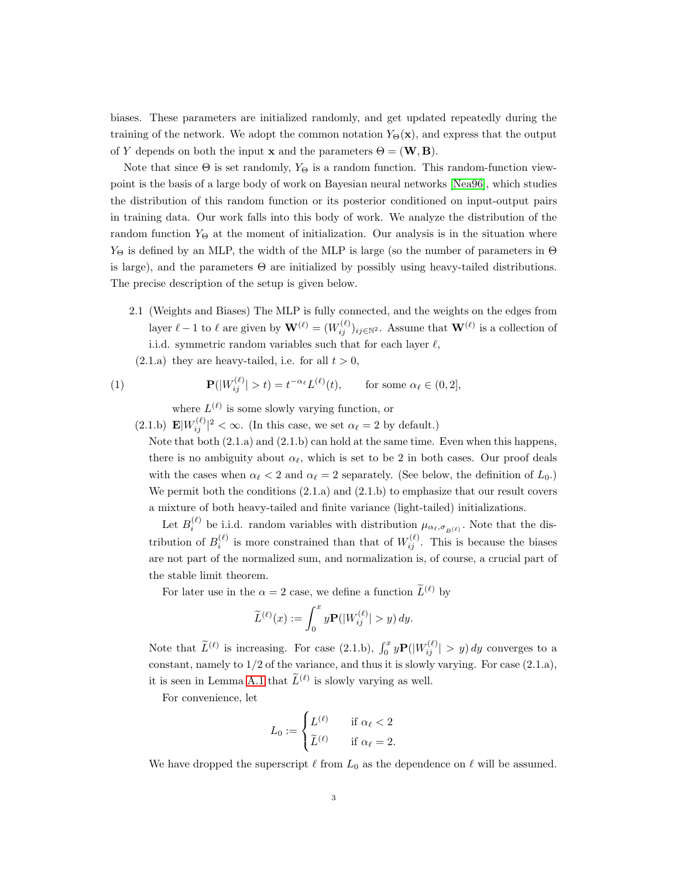biases. These parameters are initialized randomly, and get updated repeatedly during the training of the network. We adopt the common notation  $Y_{\Theta}(\mathbf{x})$ , and express that the output of Y depends on both the input **x** and the parameters  $\Theta = (\mathbf{W}, \mathbf{B})$ .

Note that since  $\Theta$  is set randomly,  $Y_{\Theta}$  is a random function. This random-function viewpoint is the basis of a large body of work on Bayesian neural networks [\[Nea96\]](#page-24-0), which studies the distribution of this random function or its posterior conditioned on input-output pairs in training data. Our work falls into this body of work. We analyze the distribution of the random function  $Y_{\Theta}$  at the moment of initialization. Our analysis is in the situation where  $Y_{\Theta}$  is defined by an MLP, the width of the MLP is large (so the number of parameters in  $\Theta$ is large), and the parameters  $\Theta$  are initialized by possibly using heavy-tailed distributions. The precise description of the setup is given below.

- 2.1 (Weights and Biases) The MLP is fully connected, and the weights on the edges from layer  $\ell - 1$  to  $\ell$  are given by  $\mathbf{W}^{(\ell)} = (W_{ij}^{(\ell)})_{ij \in \mathbb{N}^2}$ . Assume that  $\mathbf{W}^{(\ell)}$  is a collection of i.i.d. symmetric random variables such that for each layer  $\ell$ ,
- $(2.1.a)$  they are heavy-tailed, i.e. for all  $t > 0$ ,

<span id="page-2-0"></span>(1) 
$$
\mathbf{P}(|W_{ij}^{(\ell)}| > t) = t^{-\alpha_{\ell}} L^{(\ell)}(t), \quad \text{for some } \alpha_{\ell} \in (0,2],
$$

where  $L^{(\ell)}$  is some slowly varying function, or

(2.1.b)  $\mathbf{E}|W_{ij}^{(\ell)}|^2 < \infty$ . (In this case, we set  $\alpha_{\ell} = 2$  by default.)

Note that both  $(2.1.a)$  and  $(2.1.b)$  can hold at the same time. Even when this happens, there is no ambiguity about  $\alpha_{\ell}$ , which is set to be 2 in both cases. Our proof deals with the cases when  $\alpha_{\ell} < 2$  and  $\alpha_{\ell} = 2$  separately. (See below, the definition of  $L_0$ .) We permit both the conditions  $(2.1.a)$  and  $(2.1.b)$  to emphasize that our result covers a mixture of both heavy-tailed and finite variance (light-tailed) initializations.

Let  $B_i^{(\ell)}$  be i.i.d. random variables with distribution  $\mu_{\alpha_\ell,\sigma_{B}(\ell)}$ . Note that the distribution of  $B_i^{(\ell)}$  is more constrained than that of  $W_{ij}^{(\ell)}$ . This is because the biases are not part of the normalized sum, and normalization is, of course, a crucial part of the stable limit theorem.

For later use in the  $\alpha = 2$  case, we define a function  $\widetilde{L}^{(\ell)}$  by

$$
\widetilde{L}^{(\ell)}(x) := \int_0^x y \mathbf{P}(|W_{ij}^{(\ell)}| > y) dy.
$$

Note that  $\tilde{L}^{(\ell)}$  is increasing. For case (2.1.b),  $\int_0^x y \mathbf{P}(|W_{ij}^{(\ell)}| > y) dy$  converges to a constant, namely to  $1/2$  of the variance, and thus it is slowly varying. For case  $(2.1.a)$ , it is seen in Lemma [A.1](#page-19-0) that  $\tilde{L}^{(\ell)}$  is slowly varying as well.

For convenience, let

$$
L_0 := \begin{cases} L^{(\ell)} & \text{if } \alpha_{\ell} < 2 \\ \widetilde{L}^{(\ell)} & \text{if } \alpha_{\ell} = 2. \end{cases}
$$

We have dropped the superscript  $\ell$  from  $L_0$  as the dependence on  $\ell$  will be assumed.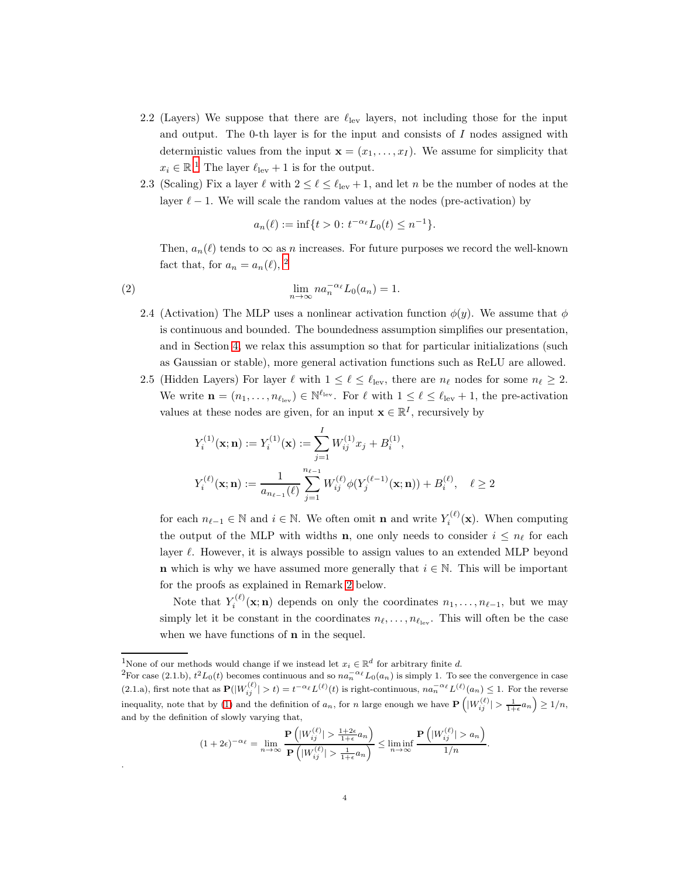- 2.2 (Layers) We suppose that there are  $\ell_{\text{lev}}$  layers, not including those for the input and output. The 0-th layer is for the input and consists of  $I$  nodes assigned with deterministic values from the input  $\mathbf{x} = (x_1, \ldots, x_I)$ . We assume for simplicity that  $x_i \in \mathbb{R}^1$  The layer  $\ell_{\text{lev}} + 1$  is for the output.
- 2.3 (Scaling) Fix a layer  $\ell$  with  $2 \leq \ell \leq \ell_{\text{lev}} + 1$ , and let n be the number of nodes at the layer  $\ell - 1$ . We will scale the random values at the nodes (pre-activation) by

$$
a_n(\ell) := \inf\{t > 0 \colon t^{-\alpha_\ell} L_0(t) \le n^{-1}\}.
$$

Then,  $a_n(\ell)$  tends to  $\infty$  as n increases. For future purposes we record the well-known fact that, for  $a_n = a_n(\ell)$ , <sup>2</sup>

<span id="page-3-0"></span>(2) 
$$
\lim_{n \to \infty} na_n^{-\alpha_\ell} L_0(a_n) = 1.
$$

- 2.4 (Activation) The MLP uses a nonlinear activation function  $\phi(y)$ . We assume that  $\phi$ is continuous and bounded. The boundedness assumption simplifies our presentation, and in Section [4,](#page-11-0) we relax this assumption so that for particular initializations (such as Gaussian or stable), more general activation functions such as ReLU are allowed.
- 2.5 (Hidden Layers) For layer  $\ell$  with  $1 \leq \ell \leq \ell_{\text{lev}}$ , there are  $n_{\ell}$  nodes for some  $n_{\ell} \geq 2$ . We write  $\mathbf{n} = (n_1, \ldots, n_{\ell_{\text{lev}}}) \in \mathbb{N}^{\ell_{\text{lev}}}$ . For  $\ell$  with  $1 \leq \ell \leq \ell_{\text{lev}} + 1$ , the pre-activation values at these nodes are given, for an input  $\mathbf{x} \in \mathbb{R}^I$ , recursively by

$$
\begin{aligned} Y_i^{(1)}(\mathbf{x}; \mathbf{n}) &:= Y_i^{(1)}(\mathbf{x}) := \sum_{j=1}^I W_{ij}^{(1)} x_j + B_i^{(1)}, \\ Y_i^{(\ell)}(\mathbf{x}; \mathbf{n}) &:= \frac{1}{a_{n_{\ell-1}}(\ell)} \sum_{j=1}^{n_{\ell-1}} W_{ij}^{(\ell)} \phi(Y_j^{(\ell-1)}(\mathbf{x}; \mathbf{n})) + B_i^{(\ell)}, \quad \ell \ge 2 \end{aligned}
$$

for each  $n_{\ell-1} \in \mathbb{N}$  and  $i \in \mathbb{N}$ . We often omit **n** and write  $Y_i^{(\ell)}(\mathbf{x})$ . When computing the output of the MLP with widths **n**, one only needs to consider  $i \leq n_\ell$  for each layer  $\ell$ . However, it is always possible to assign values to an extended MLP beyond **n** which is why we have assumed more generally that  $i \in \mathbb{N}$ . This will be important for the proofs as explained in Remark [2](#page-4-0) below.

Note that  $Y_i^{(\ell)}(\mathbf{x}; \mathbf{n})$  depends on only the coordinates  $n_1, \ldots, n_{\ell-1}$ , but we may simply let it be constant in the coordinates  $n_{\ell}, \ldots, n_{\ell_{\text{lev}}}$ . This will often be the case when we have functions of **n** in the sequel.

.

$$
(1+2\epsilon)^{-\alpha_{\ell}} = \lim_{n \to \infty} \frac{\mathbf{P}\left(|W_{ij}^{(\ell)}| > \frac{1+2\epsilon}{1+\epsilon}a_n\right)}{\mathbf{P}\left(|W_{ij}^{(\ell)}| > \frac{1}{1+\epsilon}a_n\right)} \le \liminf_{n \to \infty} \frac{\mathbf{P}\left(|W_{ij}^{(\ell)}| > a_n\right)}{1/n}.
$$

<sup>&</sup>lt;sup>1</sup>None of our methods would change if we instead let  $x_i \in \mathbb{R}^d$  for arbitrary finite d.

<sup>&</sup>lt;sup>2</sup>For case (2.1.b),  $t^2L_0(t)$  becomes continuous and so  $na_n^{-\alpha_\ell}L_0(a_n)$  is simply 1. To see the convergence in case (2.1.a), first note that as  $\mathbf{P}(|W_{ij}^{(\ell)}| > t) = t^{-\alpha_{\ell}} L^{(\ell)}(t)$  is right-continuous,  $n a_n^{-\alpha_{\ell}} L^{(\ell)}(a_n) \leq 1$ . For the reverse inequality, note that by [\(1\)](#page-2-0) and the definition of  $a_n$ , for n large enough we have  $P\left(|W_{ij}^{(\ell)}| > \frac{1}{1+\epsilon}a_n\right) \geq 1/n$ , and by the definition of slowly varying that,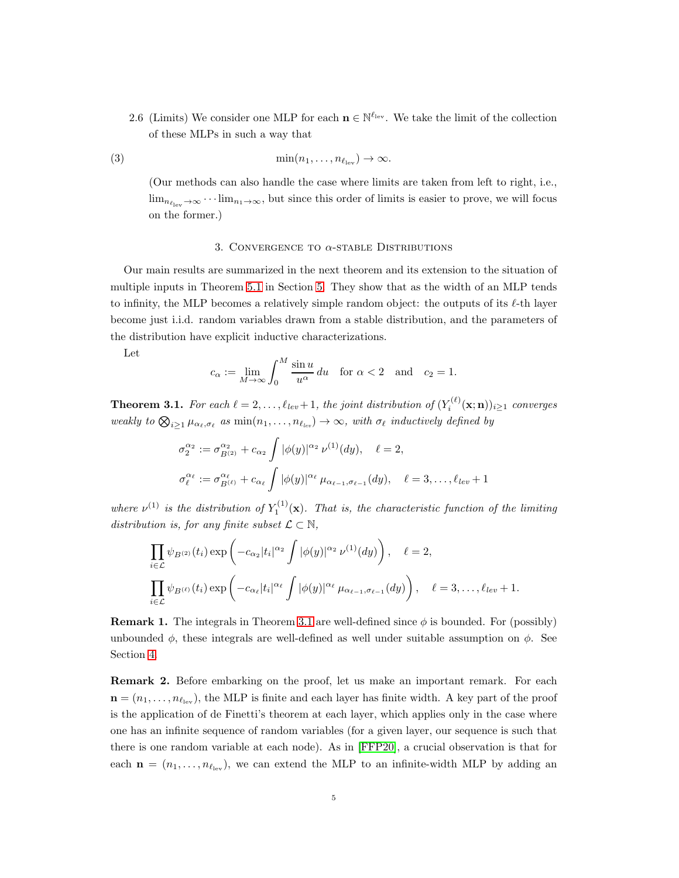2.6 (Limits) We consider one MLP for each  $\mathbf{n} \in \mathbb{N}^{\ell_{\text{lev}}}$ . We take the limit of the collection of these MLPs in such a way that

<span id="page-4-2"></span>(3) 
$$
\min(n_1,\ldots,n_{\ell_{\text{lev}}})\to\infty.
$$

(Our methods can also handle the case where limits are taken from left to right, i.e.,  $\lim_{n_{\ell_{\text{lev}}}\to\infty}\cdots\lim_{n_1\to\infty}$ , but since this order of limits is easier to prove, we will focus on the former.)

#### 3. CONVERGENCE TO  $\alpha$ -STABLE DISTRIBUTIONS

Our main results are summarized in the next theorem and its extension to the situation of multiple inputs in Theorem [5.1](#page-15-0) in Section [5.](#page-15-1) They show that as the width of an MLP tends to infinity, the MLP becomes a relatively simple random object: the outputs of its  $\ell$ -th layer become just i.i.d. random variables drawn from a stable distribution, and the parameters of the distribution have explicit inductive characterizations.

Let

$$
c_{\alpha} := \lim_{M \to \infty} \int_0^M \frac{\sin u}{u^{\alpha}} du \quad \text{for } \alpha < 2 \quad \text{and} \quad c_2 = 1.
$$

<span id="page-4-1"></span>**Theorem 3.1.** For each  $\ell = 2, \ldots, \ell_{lev} + 1$ , the joint distribution of  $(Y_i^{(\ell)}(\mathbf{x}; \mathbf{n}))_{i \geq 1}$  converges weakly to  $\bigotimes_{i\geq 1}\mu_{\alpha_\ell,\sigma_\ell}$  as  $\min(n_1,\ldots,n_{\ell_{lev}})\to\infty$ , with  $\sigma_\ell$  inductively defined by

$$
\sigma_2^{\alpha_2} := \sigma_{B^{(2)}}^{\alpha_2} + c_{\alpha_2} \int |\phi(y)|^{\alpha_2} \nu^{(1)}(dy), \quad \ell = 2,
$$
  

$$
\sigma_\ell^{\alpha_\ell} := \sigma_{B^{(\ell)}}^{\alpha_\ell} + c_{\alpha_\ell} \int |\phi(y)|^{\alpha_\ell} \mu_{\alpha_{\ell-1}, \sigma_{\ell-1}}(dy), \quad \ell = 3, \dots, \ell_{\ell} = 1
$$

where  $\nu^{(1)}$  is the distribution of  $Y_1^{(1)}(\mathbf{x})$ . That is, the characteristic function of the limiting distribution is, for any finite subset  $\mathcal{L} \subset \mathbb{N}$ ,

$$
\prod_{i \in \mathcal{L}} \psi_{B^{(2)}}(t_i) \exp\left(-c_{\alpha_2} |t_i|^{\alpha_2} \int |\phi(y)|^{\alpha_2} \nu^{(1)}(dy)\right), \quad \ell = 2,
$$
\n
$$
\prod_{i \in \mathcal{L}} \psi_{B^{(\ell)}}(t_i) \exp\left(-c_{\alpha_\ell} |t_i|^{\alpha_\ell} \int |\phi(y)|^{\alpha_\ell} \mu_{\alpha_{\ell-1}, \sigma_{\ell-1}}(dy)\right), \quad \ell = 3, \dots, \ell_{lev} + 1.
$$

<span id="page-4-3"></span>**Remark 1.** The integrals in Theorem [3.1](#page-4-1) are well-defined since  $\phi$  is bounded. For (possibly) unbounded  $\phi$ , these integrals are well-defined as well under suitable assumption on  $\phi$ . See Section [4.](#page-11-0)

<span id="page-4-0"></span>Remark 2. Before embarking on the proof, let us make an important remark. For each  $\mathbf{n} = (n_1, \ldots, n_{\ell_{\text{lev}}})$ , the MLP is finite and each layer has finite width. A key part of the proof is the application of de Finetti's theorem at each layer, which applies only in the case where one has an infinite sequence of random variables (for a given layer, our sequence is such that there is one random variable at each node). As in [\[FFP20\]](#page-23-2), a crucial observation is that for each  $\mathbf{n} = (n_1, \ldots, n_{\ell_{\text{lev}}})$ , we can extend the MLP to an infinite-width MLP by adding an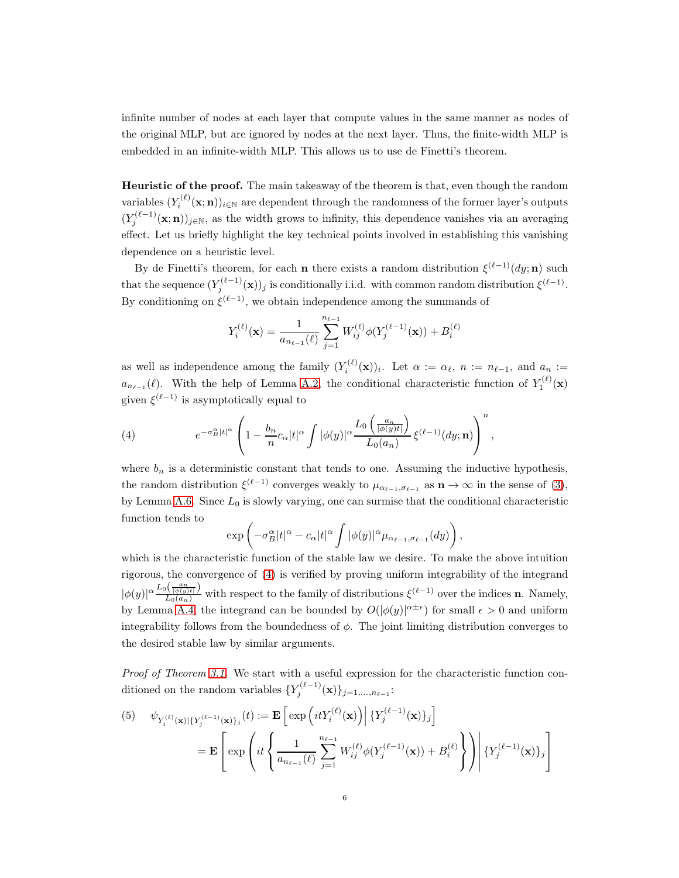infinite number of nodes at each layer that compute values in the same manner as nodes of the original MLP, but are ignored by nodes at the next layer. Thus, the finite-width MLP is embedded in an infinite-width MLP. This allows us to use de Finetti's theorem.

Heuristic of the proof. The main takeaway of the theorem is that, even though the random variables  $(Y_i^{(\ell)}(\mathbf{x}; \mathbf{n}))_{i \in \mathbb{N}}$  are dependent through the randomness of the former layer's outputs  $(Y_j^{(\ell-1)}(\mathbf{x}; \mathbf{n}))_{j \in \mathbb{N}}$ , as the width grows to infinity, this dependence vanishes via an averaging effect. Let us briefly highlight the key technical points involved in establishing this vanishing dependence on a heuristic level.

By de Finetti's theorem, for each **n** there exists a random distribution  $\xi^{(\ell-1)}(dy; \mathbf{n})$  such that the sequence  $(Y_j^{(\ell-1)}(\mathbf{x}))_j$  is conditionally i.i.d. with common random distribution  $\xi^{(\ell-1)}$ . By conditioning on  $\xi^{(\ell-1)}$ , we obtain independence among the summands of

$$
Y_i^{(\ell)}(\mathbf{x}) = \frac{1}{a_{n_{\ell-1}}(\ell)} \sum_{j=1}^{n_{\ell-1}} W_{ij}^{(\ell)} \phi(Y_j^{(\ell-1)}(\mathbf{x})) + B_i^{(\ell)}
$$

as well as independence among the family  $(Y_i^{(\ell)}(\mathbf{x}))_i$ . Let  $\alpha := \alpha_{\ell}, n := n_{\ell-1}$ , and  $a_n :=$  $a_{n_{\ell-1}}(\ell)$ . With the help of Lemma [A.2,](#page-19-1) the conditional characteristic function of  $Y_1^{(\ell)}(\mathbf{x})$ given  $\xi^{(\ell-1)}$  is asymptotically equal to

<span id="page-5-0"></span>(4) 
$$
e^{-\sigma_B^{\alpha}|t|^{\alpha}} \left(1 - \frac{b_n}{n} c_{\alpha} |t|^{\alpha} \int |\phi(y)|^{\alpha} \frac{L_0\left(\frac{a_n}{|\phi(y)t|}\right)}{L_0(a_n)} \xi^{(\ell-1)}(dy; \mathbf{n})\right)^n,
$$

where  $b_n$  is a deterministic constant that tends to one. Assuming the inductive hypothesis, the random distribution  $\xi^{(\ell-1)}$  converges weakly to  $\mu_{\alpha_{\ell-1},\sigma_{\ell-1}}$  as  $\mathbf{n} \to \infty$  in the sense of [\(3\)](#page-4-2), by Lemma [A.6.](#page-20-0) Since  $L_0$  is slowly varying, one can surmise that the conditional characteristic function tends to

$$
\exp\left(-\sigma_B^{\alpha}|t|^{\alpha}-c_{\alpha}|t|^{\alpha}\int |\phi(y)|^{\alpha}\mu_{\alpha_{\ell-1},\sigma_{\ell-1}}(dy)\right),\,
$$

which is the characteristic function of the stable law we desire. To make the above intuition rigorous, the convergence of [\(4\)](#page-5-0) is verified by proving uniform integrability of the integrand  $|\phi(y)|^{\alpha} \frac{L_0(\frac{a_n}{|\phi(y)|})}{L_0(a_n)}$  with respect to the family of distributions  $\xi^{(\ell-1)}$  over the indices **n**. Namely, by Lemma [A.4,](#page-20-1) the integrand can be bounded by  $O(|\phi(y)|^{\alpha \pm \epsilon})$  for small  $\epsilon > 0$  and uniform integrability follows from the boundedness of  $\phi$ . The joint limiting distribution converges to the desired stable law by similar arguments.

Proof of Theorem [3.1.](#page-4-1) We start with a useful expression for the characteristic function conditioned on the random variables  $\{Y_j^{(\ell-1)}(\mathbf{x})\}_{j=1,\ldots,n_{\ell-1}}$ :

<span id="page-5-1"></span>(5) 
$$
\psi_{Y_i^{(\ell)}(\mathbf{x})|\{Y_j^{(\ell-1)}(\mathbf{x})\}_j}(t) := \mathbf{E}\left[\exp\left(itY_i^{(\ell)}(\mathbf{x})\right) \Big| \{Y_j^{(\ell-1)}(\mathbf{x})\}_j\right]
$$

$$
= \mathbf{E}\left[\exp\left(it\left\{\frac{1}{a_{n_{\ell-1}}(\ell)}\sum_{j=1}^{n_{\ell-1}} W_{ij}^{(\ell)} \phi(Y_j^{(\ell-1)}(\mathbf{x})) + B_i^{(\ell)}\right\}\right) \Big| \{Y_j^{(\ell-1)}(\mathbf{x})\}_j\right]
$$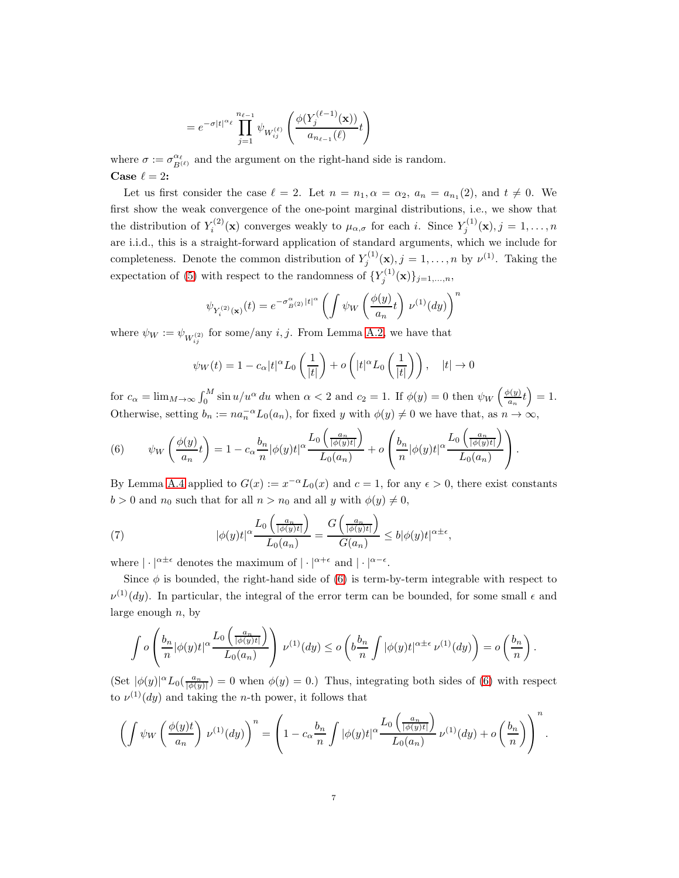$$
= e^{-\sigma |t|^{\alpha_{\ell}}}\prod_{j=1}^{n_{\ell-1}} \psi_{W_{ij}^{(\ell)}}\left(\frac{\phi(Y_j^{(\ell-1)}(\mathbf{x}))}{a_{n_{\ell-1}}(\ell)}t\right)
$$

where  $\sigma := \sigma_{B^{(\ell)}}^{\alpha_{\ell}}$  and the argument on the right-hand side is random. Case  $\ell = 2$ :

Let us first consider the case  $\ell = 2$ . Let  $n = n_1, \alpha = \alpha_2, a_n = a_{n_1}(2)$ , and  $t \neq 0$ . We first show the weak convergence of the one-point marginal distributions, i.e., we show that the distribution of  $Y_i^{(2)}(\mathbf{x})$  converges weakly to  $\mu_{\alpha,\sigma}$  for each i. Since  $Y_j^{(1)}(\mathbf{x}), j = 1, \ldots, n$ are i.i.d., this is a straight-forward application of standard arguments, which we include for completeness. Denote the common distribution of  $Y_j^{(1)}(\mathbf{x}), j = 1, \ldots, n$  by  $\nu^{(1)}$ . Taking the expectation of [\(5\)](#page-5-1) with respect to the randomness of  $\{Y_j^{(1)}(\mathbf{x})\}_{j=1,\ldots,n}$ ,

$$
\psi_{Y_i^{(2)}(\mathbf{x})}(t) = e^{-\sigma_{B^{(2)}}^{\alpha}|t|^{\alpha}} \left( \int \psi_W \left( \frac{\phi(y)}{a_n} t \right) \nu^{(1)}(dy) \right)^n
$$

where  $\psi_W := \psi_{W_{ij}^{(2)}}$  for some/any *i*, *j*. From Lemma [A.2,](#page-19-1) we have that

$$
\psi_W(t) = 1 - c_\alpha |t|^\alpha L_0\left(\frac{1}{|t|}\right) + o\left(|t|^\alpha L_0\left(\frac{1}{|t|}\right)\right), \quad |t| \to 0
$$

for  $c_{\alpha} = \lim_{M \to \infty} \int_0^M \sin u/u^{\alpha} du$  when  $\alpha < 2$  and  $c_2 = 1$ . If  $\phi(y) = 0$  then  $\psi_W\left(\frac{\phi(y)}{a_n}\right)$  $\frac{b(y)}{a_n}t$  = 1. Otherwise, setting  $b_n := na_n^{-\alpha} L_0(a_n)$ , for fixed y with  $\phi(y) \neq 0$  we have that, as  $n \to \infty$ ,

<span id="page-6-0"></span>(6) 
$$
\psi_W\left(\frac{\phi(y)}{a_n}t\right) = 1 - c_\alpha \frac{b_n}{n} |\phi(y)t|^\alpha \frac{L_0\left(\frac{a_n}{|\phi(y)t|}\right)}{L_0(a_n)} + o\left(\frac{b_n}{n} |\phi(y)t|^\alpha \frac{L_0\left(\frac{a_n}{|\phi(y)t|}\right)}{L_0(a_n)}\right).
$$

By Lemma [A.4](#page-20-1) applied to  $G(x) := x^{-\alpha} L_0(x)$  and  $c = 1$ , for any  $\epsilon > 0$ , there exist constants  $b > 0$  and  $n_0$  such that for all  $n > n_0$  and all y with  $\phi(y) \neq 0$ ,

<span id="page-6-1"></span>(7) 
$$
|\phi(y)t|^{\alpha} \frac{L_0\left(\frac{a_n}{|\phi(y)t|}\right)}{L_0(a_n)} = \frac{G\left(\frac{a_n}{|\phi(y)t|}\right)}{G(a_n)} \le b|\phi(y)t|^{\alpha \pm \epsilon},
$$

where  $|\cdot|^{\alpha \pm \epsilon}$  denotes the maximum of  $|\cdot|^{\alpha+\epsilon}$  and  $|\cdot|^{\alpha-\epsilon}$ .

Since  $\phi$  is bounded, the right-hand side of [\(6\)](#page-6-0) is term-by-term integrable with respect to  $\nu^{(1)}(dy)$ . In particular, the integral of the error term can be bounded, for some small  $\epsilon$  and large enough  $n$ , by

$$
\int o\left(\frac{b_n}{n}|\phi(y)t|^{\alpha}\frac{L_0\left(\frac{a_n}{|\phi(y)t|}\right)}{L_0(a_n)}\right)\,\nu^{(1)}(dy)\leq o\left(b\frac{b_n}{n}\int |\phi(y)t|^{\alpha\pm\epsilon}\,\nu^{(1)}(dy)\right)=o\left(\frac{b_n}{n}\right).
$$

 $(\text{Set } |\phi(y)|^{\alpha} L_0(\frac{a_n}{|\phi(y)|}) = 0$  when  $\phi(y) = 0$ . Thus, integrating both sides of [\(6\)](#page-6-0) with respect to  $\nu^{(1)}(dy)$  and taking the *n*-th power, it follows that

$$
\left(\int \psi_W \left(\frac{\phi(y)t}{a_n}\right) \nu^{(1)}(dy)\right)^n = \left(1 - c_\alpha \frac{b_n}{n} \int |\phi(y)t|^\alpha \frac{L_0\left(\frac{a_n}{|\phi(y)t|}\right)}{L_0(a_n)} \nu^{(1)}(dy) + o\left(\frac{b_n}{n}\right)\right)^n.
$$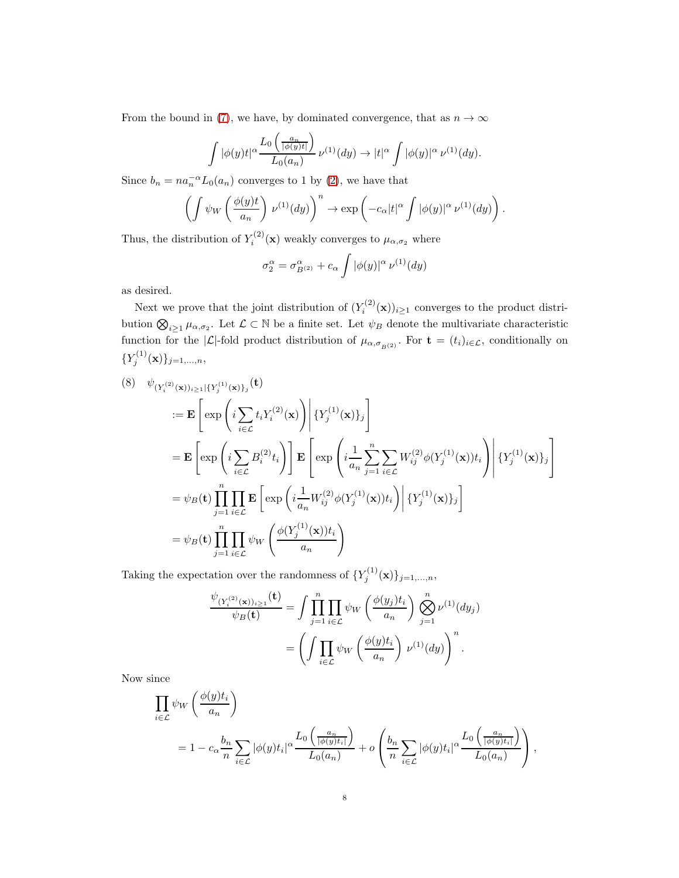From the bound in [\(7\)](#page-6-1), we have, by dominated convergence, that as  $n \to \infty$ 

$$
\int |\phi(y)t|^{\alpha} \frac{L_0\left(\frac{a_n}{|\phi(y)t|}\right)}{L_0(a_n)} \nu^{(1)}(dy) \to |t|^{\alpha} \int |\phi(y)|^{\alpha} \nu^{(1)}(dy).
$$

Since  $b_n = na_n^{-\alpha} L_0(a_n)$  converges to 1 by [\(2\)](#page-3-0), we have that

$$
\left(\int \psi_W \left(\frac{\phi(y)t}{a_n}\right) \, \nu^{(1)}(dy)\right)^n \to \exp\left(-c_\alpha |t|^\alpha \int |\phi(y)|^\alpha \, \nu^{(1)}(dy)\right).
$$

Thus, the distribution of  $Y_i^{(2)}(\mathbf{x})$  weakly converges to  $\mu_{\alpha,\sigma_2}$  where

$$
\sigma_2^{\alpha} = \sigma_{B^{(2)}}^{\alpha} + c_{\alpha} \int |\phi(y)|^{\alpha} \nu^{(1)}(dy)
$$

as desired.

Next we prove that the joint distribution of  $(Y_i^{(2)}(\mathbf{x}))_{i\geq 1}$  converges to the product distribution  $\bigotimes_{i\geq 1}\mu_{\alpha,\sigma_2}$ . Let  $\mathcal{L}\subset\mathbb{N}$  be a finite set. Let  $\psi_B$  denote the multivariate characteristic function for the  $|\mathcal{L}|$ -fold product distribution of  $\mu_{\alpha,\sigma_{B}(2)}$ . For  $\mathbf{t} = (t_i)_{i \in \mathcal{L}}$ , conditionally on  $\{Y_j^{(1)}$  $\{f_j^{(1)}(\mathbf{x})\}_{j=1,...,n},$ 

<span id="page-7-0"></span>
$$
(8) \quad \psi_{(Y_i^{(2)}(\mathbf{x}))_{i\geq 1}\{Y_j^{(1)}(\mathbf{x})\}_j}(\mathbf{t})
$$
  
\n
$$
:= \mathbf{E}\left[\exp\left(i\sum_{i\in\mathcal{L}} t_i Y_i^{(2)}(\mathbf{x})\right) \middle| \{Y_j^{(1)}(\mathbf{x})\}_j\right]
$$
  
\n
$$
= \mathbf{E}\left[\exp\left(i\sum_{i\in\mathcal{L}} B_i^{(2)} t_i\right)\right] \mathbf{E}\left[\exp\left(i\frac{1}{a_n}\sum_{j=1}^n \sum_{i\in\mathcal{L}} W_{ij}^{(2)} \phi(Y_j^{(1)}(\mathbf{x})) t_i\right) \middle| \{Y_j^{(1)}(\mathbf{x})\}_j\right]
$$
  
\n
$$
= \psi_B(\mathbf{t}) \prod_{j=1}^n \prod_{i\in\mathcal{L}} \mathbf{E}\left[\exp\left(i\frac{1}{a_n} W_{ij}^{(2)} \phi(Y_j^{(1)}(\mathbf{x})) t_i\right) \middle| \{Y_j^{(1)}(\mathbf{x})\}_j\right]
$$
  
\n
$$
= \psi_B(\mathbf{t}) \prod_{j=1}^n \prod_{i\in\mathcal{L}} \psi_W\left(\frac{\phi(Y_j^{(1)}(\mathbf{x})) t_i}{a_n}\right)
$$

Taking the expectation over the randomness of  $\{Y_j^{(1)}\}$  $\{f_j^{(1)}(\mathbf{x})\}_{j=1,...,n},$ 

$$
\frac{\psi_{(Y_i^{(2)}(\mathbf{x}))_{i\geq 1}}(\mathbf{t})}{\psi_B(\mathbf{t})} = \int \prod_{j=1}^n \prod_{i \in \mathcal{L}} \psi_W \left(\frac{\phi(y_j)t_i}{a_n}\right) \bigotimes_{j=1}^n \nu^{(1)}(dy_j)
$$

$$
= \left(\int \prod_{i \in \mathcal{L}} \psi_W \left(\frac{\phi(y)t_i}{a_n}\right) \nu^{(1)}(dy)\right)^n.
$$

Now since

$$
\prod_{i \in \mathcal{L}} \psi_W \left( \frac{\phi(y)t_i}{a_n} \right)
$$
\n
$$
= 1 - c_{\alpha} \frac{b_n}{n} \sum_{i \in \mathcal{L}} |\phi(y)t_i|^{\alpha} \frac{L_0 \left( \frac{a_n}{|\phi(y)t_i|} \right)}{L_0(a_n)} + o\left( \frac{b_n}{n} \sum_{i \in \mathcal{L}} |\phi(y)t_i|^{\alpha} \frac{L_0 \left( \frac{a_n}{|\phi(y)t_i|} \right)}{L_0(a_n)} \right),
$$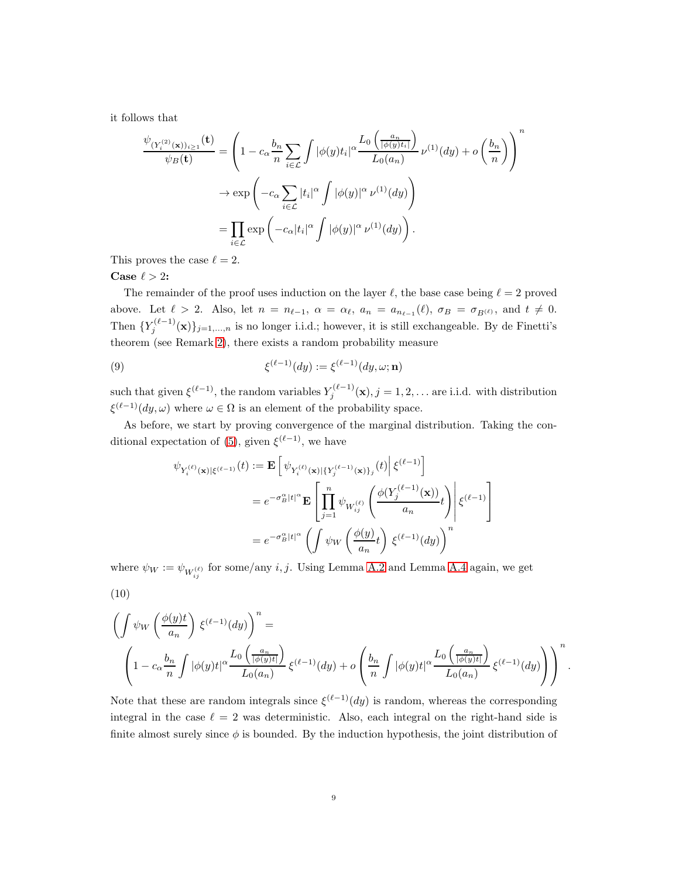it follows that

$$
\frac{\psi_{(Y_i^{(2)}(\mathbf{x}))_{i\geq 1}}(\mathbf{t})}{\psi_B(\mathbf{t})} = \left(1 - c_{\alpha} \frac{b_n}{n} \sum_{i \in \mathcal{L}} \int |\phi(y)t_i|^{\alpha} \frac{L_0\left(\frac{a_n}{|\phi(y)t_i|}\right)}{L_0(a_n)} \nu^{(1)}(dy) + o\left(\frac{b_n}{n}\right)\right)^n
$$

$$
\rightarrow \exp\left(-c_{\alpha} \sum_{i \in \mathcal{L}} |t_i|^{\alpha} \int |\phi(y)|^{\alpha} \nu^{(1)}(dy)\right)
$$

$$
= \prod_{i \in \mathcal{L}} \exp\left(-c_{\alpha}|t_i|^{\alpha} \int |\phi(y)|^{\alpha} \nu^{(1)}(dy)\right).
$$

This proves the case  $\ell = 2$ .

## Case  $\ell > 2$ :

The remainder of the proof uses induction on the layer  $\ell$ , the base case being  $\ell = 2$  proved above. Let  $\ell > 2$ . Also, let  $n = n_{\ell-1}$ ,  $\alpha = \alpha_{\ell}$ ,  $a_n = a_{n_{\ell-1}}(\ell)$ ,  $\sigma_B = \sigma_{B(\ell)}$ , and  $t \neq 0$ . Then  $\{Y_j^{(\ell-1)}(\mathbf{x})\}_{j=1,\ldots,n}$  is no longer i.i.d.; however, it is still exchangeable. By de Finetti's theorem (see Remark [2\)](#page-4-0), there exists a random probability measure

<span id="page-8-0"></span>(9) 
$$
\xi^{(\ell-1)}(dy) := \xi^{(\ell-1)}(dy, \omega; \mathbf{n})
$$

such that given  $\xi^{(\ell-1)}$ , the random variables  $Y_i^{(\ell-1)}$  $j_j^{(k-1)}(\mathbf{x}), j = 1, 2, \dots$  are i.i.d. with distribution  $\xi^{(\ell-1)}(dy,\omega)$  where  $\omega \in \Omega$  is an element of the probability space.

As before, we start by proving convergence of the marginal distribution. Taking the con-ditional expectation of [\(5\)](#page-5-1), given  $\xi^{(\ell-1)}$ , we have

$$
\begin{split} \psi_{Y_i^{(\ell)}(\mathbf{x})|\xi^{(\ell-1)}}(t) &:= \mathbf{E} \left[ \left. \psi_{Y_i^{(\ell)}(\mathbf{x})|\{Y_j^{(\ell-1)}(\mathbf{x})\}_j}(t) \right| \xi^{(\ell-1)} \right] \\ & = e^{-\sigma_B^\alpha |t|^\alpha} \mathbf{E} \left[ \left. \prod_{j=1}^n \psi_{W_{ij}^{(\ell)}} \left( \frac{\phi(Y_j^{(\ell-1)}(\mathbf{x}))}{a_n} t \right) \right| \xi^{(\ell-1)} \right] \\ & = e^{-\sigma_B^\alpha |t|^\alpha} \left( \int \psi_W \left( \frac{\phi(y)}{a_n} t \right) \xi^{(\ell-1)}(dy) \right)^n \end{split}
$$

where  $\psi_W := \psi_{W_{ij}^{(\ell)}}$  for some/any  $i, j$ . Using Lemma [A.2](#page-19-1) and Lemma [A.4](#page-20-1) again, we get

$$
(10)
$$

$$
\left(\int \psi_W \left(\frac{\phi(y)t}{a_n}\right) \xi^{(\ell-1)}(dy)\right)^n =
$$
\n
$$
\left(1 - c_\alpha \frac{b_n}{n} \int |\phi(y)t|^\alpha \frac{L_0\left(\frac{a_n}{|\phi(y)t|}\right)}{L_0(a_n)} \xi^{(\ell-1)}(dy) + o\left(\frac{b_n}{n} \int |\phi(y)t|^\alpha \frac{L_0\left(\frac{a_n}{|\phi(y)t|}\right)}{L_0(a_n)} \xi^{(\ell-1)}(dy)\right)\right)^n.
$$

Note that these are random integrals since  $\xi^{(\ell-1)}(dy)$  is random, whereas the corresponding integral in the case  $\ell = 2$  was deterministic. Also, each integral on the right-hand side is finite almost surely since  $\phi$  is bounded. By the induction hypothesis, the joint distribution of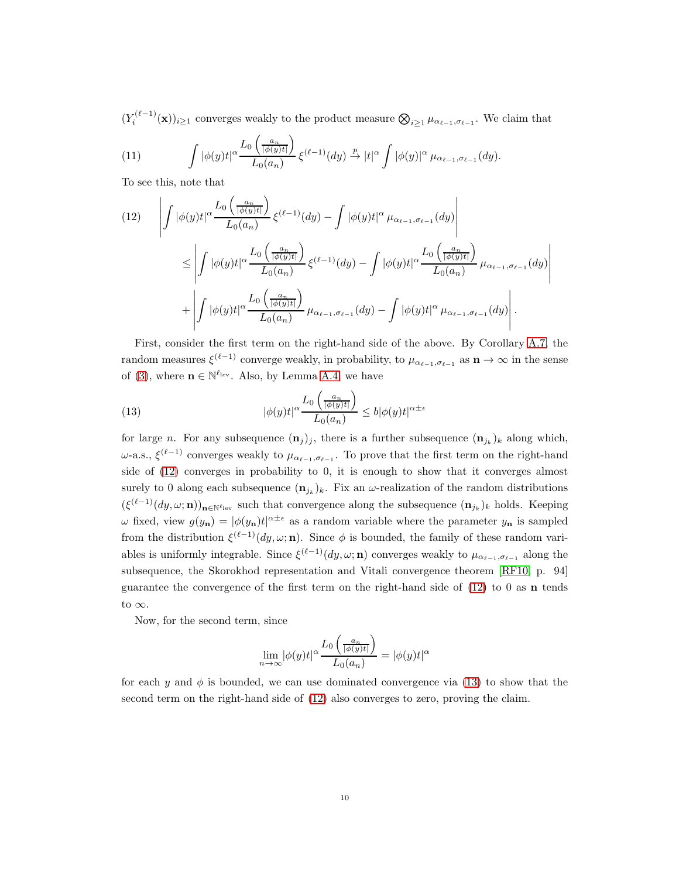$(Y_i^{(\ell-1)}(\mathbf{x}))_{i\geq 1}$  converges weakly to the product measure  $\bigotimes_{i\geq 1}\mu_{\alpha_{\ell-1},\sigma_{\ell-1}}$ . We claim that

<span id="page-9-2"></span>(11) 
$$
\int |\phi(y)t|^{\alpha} \frac{L_0\left(\frac{a_n}{|\phi(y)t|}\right)}{L_0(a_n)} \xi^{(\ell-1)}(dy) \stackrel{p}{\to} |t|^{\alpha} \int |\phi(y)|^{\alpha} \mu_{\alpha_{\ell-1}, \sigma_{\ell-1}}(dy).
$$

To see this, note that

<span id="page-9-0"></span>
$$
(12) \qquad \left| \int |\phi(y)t|^{\alpha} \frac{L_0\left(\frac{a_n}{|\phi(y)t|}\right)}{L_0(a_n)} \xi^{(\ell-1)}(dy) - \int |\phi(y)t|^{\alpha} \mu_{\alpha_{\ell-1},\sigma_{\ell-1}}(dy) \right|
$$
  

$$
\leq \left| \int |\phi(y)t|^{\alpha} \frac{L_0\left(\frac{a_n}{|\phi(y)t|}\right)}{L_0(a_n)} \xi^{(\ell-1)}(dy) - \int |\phi(y)t|^{\alpha} \frac{L_0\left(\frac{a_n}{|\phi(y)t|}\right)}{L_0(a_n)} \mu_{\alpha_{\ell-1},\sigma_{\ell-1}}(dy) \right|
$$
  

$$
+ \left| \int |\phi(y)t|^{\alpha} \frac{L_0\left(\frac{a_n}{|\phi(y)t|}\right)}{L_0(a_n)} \mu_{\alpha_{\ell-1},\sigma_{\ell-1}}(dy) - \int |\phi(y)t|^{\alpha} \mu_{\alpha_{\ell-1},\sigma_{\ell-1}}(dy) \right|.
$$

First, consider the first term on the right-hand side of the above. By Corollary [A.7,](#page-21-0) the random measures  $\xi^{(\ell-1)}$  converge weakly, in probability, to  $\mu_{\alpha_{\ell-1},\sigma_{\ell-1}}$  as  $n \to \infty$  in the sense of [\(3\)](#page-4-2), where  $\mathbf{n} \in \mathbb{N}^{\ell_{\text{lev}}}$ . Also, by Lemma [A.4,](#page-20-1) we have

<span id="page-9-1"></span>(13) 
$$
|\phi(y)t|^{\alpha} \frac{L_0\left(\frac{a_n}{|\phi(y)t|}\right)}{L_0(a_n)} \le b|\phi(y)t|^{\alpha \pm \epsilon}
$$

for large *n*. For any subsequence  $(\mathbf{n}_j)_j$ , there is a further subsequence  $(\mathbf{n}_{j_k})_k$  along which,  $ω$ -a.s.,  $\xi^{(\ell-1)}$  converges weakly to  $\mu_{\alpha_{\ell-1},\sigma_{\ell-1}}$ . To prove that the first term on the right-hand side of [\(12\)](#page-9-0) converges in probability to 0, it is enough to show that it converges almost surely to 0 along each subsequence  $(\mathbf{n}_{jk})_k$ . Fix an  $\omega$ -realization of the random distributions  $(\xi^{(\ell-1)}(dy,\omega;\mathbf{n}))_{\mathbf{n}\in\mathbb{N}^{\ell}$ lev such that convergence along the subsequence  $(\mathbf{n}_{j_k})_k$  holds. Keeping  $\omega$  fixed, view  $g(y_n) = |\phi(y_n)t|^{\alpha \pm \epsilon}$  as a random variable where the parameter  $y_n$  is sampled from the distribution  $\xi^{(\ell-1)}(dy,\omega;{\bf n})$ . Since  $\phi$  is bounded, the family of these random variables is uniformly integrable. Since  $\xi^{(\ell-1)}(dy,\omega;{\bf n})$  converges weakly to  $\mu_{\alpha_{\ell-1},\sigma_{\ell-1}}$  along the subsequence, the Skorokhod representation and Vitali convergence theorem [\[RF10,](#page-24-8) p. 94] guarantee the convergence of the first term on the right-hand side of  $(12)$  to 0 as **n** tends to  $\infty$ .

Now, for the second term, since

$$
\lim_{n\rightarrow\infty}|\phi(y)t|^{\alpha}\frac{L_0\left(\frac{a_n}{|\phi(y)t|}\right)}{L_0(a_n)}=|\phi(y)t|^{\alpha}
$$

for each y and  $\phi$  is bounded, we can use dominated convergence via [\(13\)](#page-9-1) to show that the second term on the right-hand side of [\(12\)](#page-9-0) also converges to zero, proving the claim.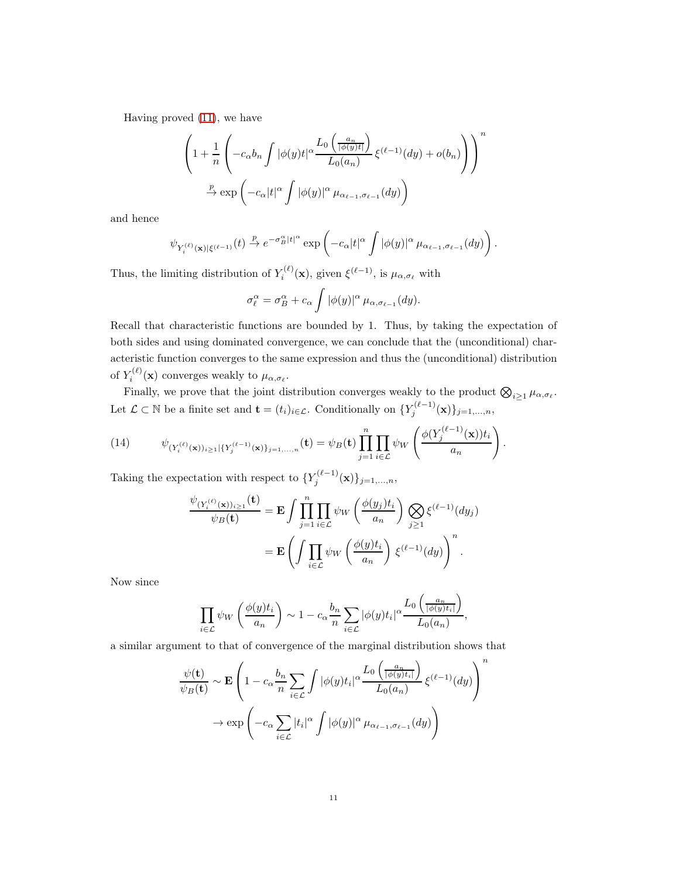Having proved [\(11\)](#page-9-2), we have

$$
\left(1+\frac{1}{n}\left(-c_{\alpha}b_{n}\int|\phi(y)t|^{\alpha}\frac{L_{0}\left(\frac{a_{n}}{|\phi(y)t|}\right)}{L_{0}(a_{n})}\xi^{(\ell-1)}(dy)+o(b_{n})\right)\right)^{n}
$$

$$
\xrightarrow{p} \exp\left(-c_{\alpha}|t|^{\alpha}\int|\phi(y)|^{\alpha}\mu_{\alpha_{\ell-1},\sigma_{\ell-1}}(dy)\right)
$$

and hence

$$
\psi_{Y_i^{(\ell)}(\mathbf{x})|\xi^{(\ell-1)}}(t) \xrightarrow{p} e^{-\sigma_B^{\alpha}|t|^{\alpha}} \exp\left(-c_{\alpha}|t|^{\alpha} \int |\phi(y)|^{\alpha} \mu_{\alpha_{\ell-1}, \sigma_{\ell-1}}(dy)\right).
$$

Thus, the limiting distribution of  $Y_i^{(\ell)}$  $\zeta_i^{(\ell)}(\mathbf{x})$ , given  $\xi^{(\ell-1)}$ , is  $\mu_{\alpha,\sigma_\ell}$  with

$$
\sigma_{\ell}^{\alpha} = \sigma_B^{\alpha} + c_{\alpha} \int |\phi(y)|^{\alpha} \mu_{\alpha, \sigma_{\ell-1}}(dy).
$$

Recall that characteristic functions are bounded by 1. Thus, by taking the expectation of both sides and using dominated convergence, we can conclude that the (unconditional) characteristic function converges to the same expression and thus the (unconditional) distribution of  $Y_i^{(\ell)}$  $\mathcal{I}_i^{(\varepsilon)}(\mathbf{x})$  converges weakly to  $\mu_{\alpha,\sigma_{\varepsilon}}$ .

Finally, we prove that the joint distribution converges weakly to the product  $\bigotimes_{i\geq 1}\mu_{\alpha,\sigma_{\ell}}$ . Let  $\mathcal{L} \subset \mathbb{N}$  be a finite set and  $\mathbf{t} = (t_i)_{i \in \mathcal{L}}$ . Conditionally on  $\{Y_j^{(\ell-1)}(\mathbf{x})\}_{j=1,\dots,n}$ ,

<span id="page-10-0"></span>(14) 
$$
\psi_{(Y_i^{(\ell)}(\mathbf{x}))_{i\geq 1}|\{Y_j^{(\ell-1)}(\mathbf{x})\}_{j=1,\dots,n}}(\mathbf{t}) = \psi_B(\mathbf{t}) \prod_{j=1}^n \prod_{i\in \mathcal{L}} \psi_W\left(\frac{\phi(Y_j^{(\ell-1)}(\mathbf{x}))t_i}{a_n}\right).
$$

Taking the expectation with respect to  ${Y_j^{(\ell-1)}}$  $\{(\mathbf{x}^{(i-1)}(\mathbf{x})\}_{j=1,...,n},$ 

$$
\frac{\psi_{(Y_i^{(\ell)}(\mathbf{x}))_{i\geq 1}}(\mathbf{t})}{\psi_B(\mathbf{t})} = \mathbf{E} \int \prod_{j=1}^n \prod_{i \in \mathcal{L}} \psi_W \left( \frac{\phi(y_j) t_i}{a_n} \right) \bigotimes_{j \geq 1} \xi^{(\ell-1)}(dy_j)
$$

$$
= \mathbf{E} \left( \int \prod_{i \in \mathcal{L}} \psi_W \left( \frac{\phi(y) t_i}{a_n} \right) \xi^{(\ell-1)}(dy) \right)^n.
$$

Now since

$$
\prod_{i\in\mathcal{L}}\psi_W\left(\frac{\phi(y)t_i}{a_n}\right)\sim 1-c_\alpha\frac{b_n}{n}\sum_{i\in\mathcal{L}}|\phi(y)t_i|^\alpha\frac{L_0\left(\frac{a_n}{|\phi(y)t_i|}\right)}{L_0(a_n)},
$$

a similar argument to that of convergence of the marginal distribution shows that

$$
\frac{\psi(\mathbf{t})}{\psi_B(\mathbf{t})} \sim \mathbf{E} \left( 1 - c_{\alpha} \frac{b_n}{n} \sum_{i \in \mathcal{L}} \int |\phi(y)t_i|^{\alpha} \frac{L_0\left(\frac{a_n}{|\phi(y)t_i|}\right)}{L_0(a_n)} \xi^{(\ell-1)}(dy) \right)^n
$$

$$
\to \exp\left( -c_{\alpha} \sum_{i \in \mathcal{L}} |t_i|^{\alpha} \int |\phi(y)|^{\alpha} \mu_{\alpha_{\ell-1}, \sigma_{\ell-1}}(dy) \right)
$$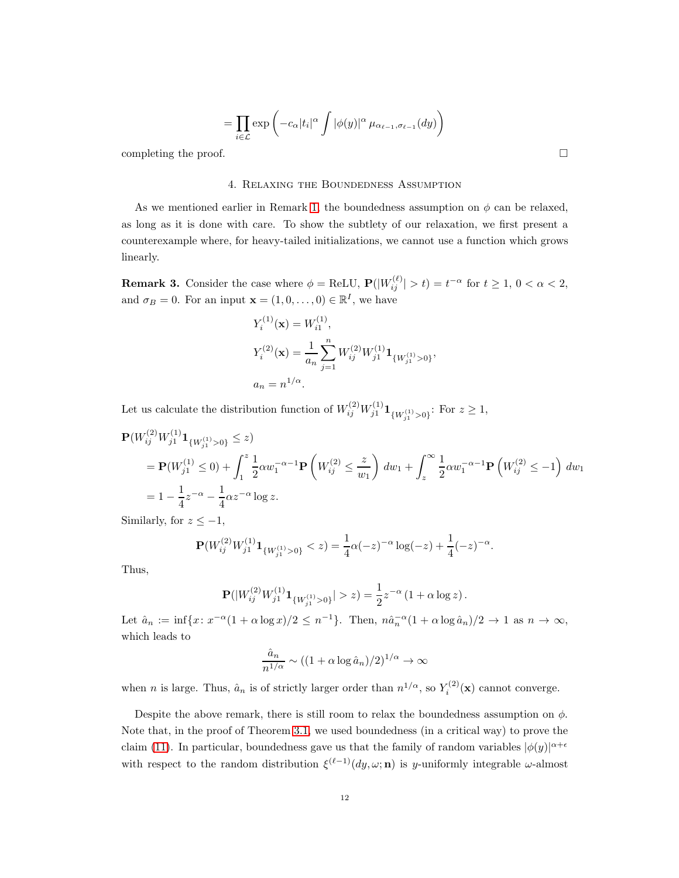$$
= \prod_{i \in \mathcal{L}} \exp \left( -c_{\alpha} |t_i|^{\alpha} \int |\phi(y)|^{\alpha} \mu_{\alpha_{\ell-1}, \sigma_{\ell-1}}(dy) \right)
$$

<span id="page-11-0"></span>completing the proof.  $\Box$ 

#### 4. Relaxing the Boundedness Assumption

As we mentioned earlier in Remark [1,](#page-4-3) the boundedness assumption on  $\phi$  can be relaxed, as long as it is done with care. To show the subtlety of our relaxation, we first present a counterexample where, for heavy-tailed initializations, we cannot use a function which grows linearly.

**Remark 3.** Consider the case where  $\phi = \text{ReLU}, P(|W_{ij}^{(\ell)}| > t) = t^{-\alpha}$  for  $t \ge 1, 0 < \alpha < 2$ , and  $\sigma_B = 0$ . For an input  $\mathbf{x} = (1, 0, \dots, 0) \in \mathbb{R}^I$ , we have

$$
Y_i^{(1)}(\mathbf{x}) = W_{i1}^{(1)},
$$
  
\n
$$
Y_i^{(2)}(\mathbf{x}) = \frac{1}{a_n} \sum_{j=1}^n W_{ij}^{(2)} W_{j1}^{(1)} \mathbf{1}_{\{W_{j1}^{(1)} > 0\}},
$$
  
\n
$$
a_n = n^{1/\alpha}.
$$

Let us calculate the distribution function of  $W_{ij}^{(2)} W_{j1}^{(1)} \mathbf{1}_{\{W_{j1}^{(1)} > 0\}}$ : For  $z \ge 1$ ,

$$
\mathbf{P}(W_{ij}^{(2)}W_{j1}^{(1)}\mathbf{1}_{\{W_{ij}^{(1)}>0\}} \leq z)
$$
\n
$$
= \mathbf{P}(W_{j1}^{(1)} \leq 0) + \int_{1}^{z} \frac{1}{2} \alpha w_{1}^{-\alpha-1} \mathbf{P}\left(W_{ij}^{(2)} \leq \frac{z}{w_{1}}\right) dw_{1} + \int_{z}^{\infty} \frac{1}{2} \alpha w_{1}^{-\alpha-1} \mathbf{P}\left(W_{ij}^{(2)} \leq -1\right) dw_{1}
$$
\n
$$
= 1 - \frac{1}{4}z^{-\alpha} - \frac{1}{4} \alpha z^{-\alpha} \log z.
$$

Similarly, for  $z \leq -1$ ,

$$
\mathbf{P}(W_{ij}^{(2)}W_{j1}^{(1)}\mathbf{1}_{\{W_{j1}^{(1)}>0\}} < z) = \frac{1}{4}\alpha(-z)^{-\alpha}\log(-z) + \frac{1}{4}(-z)^{-\alpha}.
$$

Thus,

$$
\mathbf{P}(|W_{ij}^{(2)}W_{j1}^{(1)}\mathbf{1}_{\{W_{j1}^{(1)}>0\}}|>z) = \frac{1}{2}z^{-\alpha}(1+\alpha\log z).
$$

Let  $\hat{a}_n := \inf\{x \colon x^{-\alpha}(1 + \alpha \log x)/2 \leq n^{-1}\}\.$  Then,  $n\hat{a}_n^{-\alpha}(1 + \alpha \log \hat{a}_n)/2 \to 1$  as  $n \to \infty$ , which leads to

$$
\frac{\hat{a}_n}{n^{1/\alpha}} \sim ((1+\alpha \log \hat{a}_n)/2)^{1/\alpha} \to \infty
$$

when *n* is large. Thus,  $\hat{a}_n$  is of strictly larger order than  $n^{1/\alpha}$ , so  $Y_i^{(2)}(\mathbf{x})$  cannot converge.

Despite the above remark, there is still room to relax the boundedness assumption on  $\phi$ . Note that, in the proof of Theorem [3.1,](#page-4-1) we used boundedness (in a critical way) to prove the claim [\(11\)](#page-9-2). In particular, boundedness gave us that the family of random variables  $|\phi(y)|^{\alpha+\epsilon}$ with respect to the random distribution  $\xi^{(\ell-1)}(dy,\omega;{\bf n})$  is y-uniformly integrable  $\omega$ -almost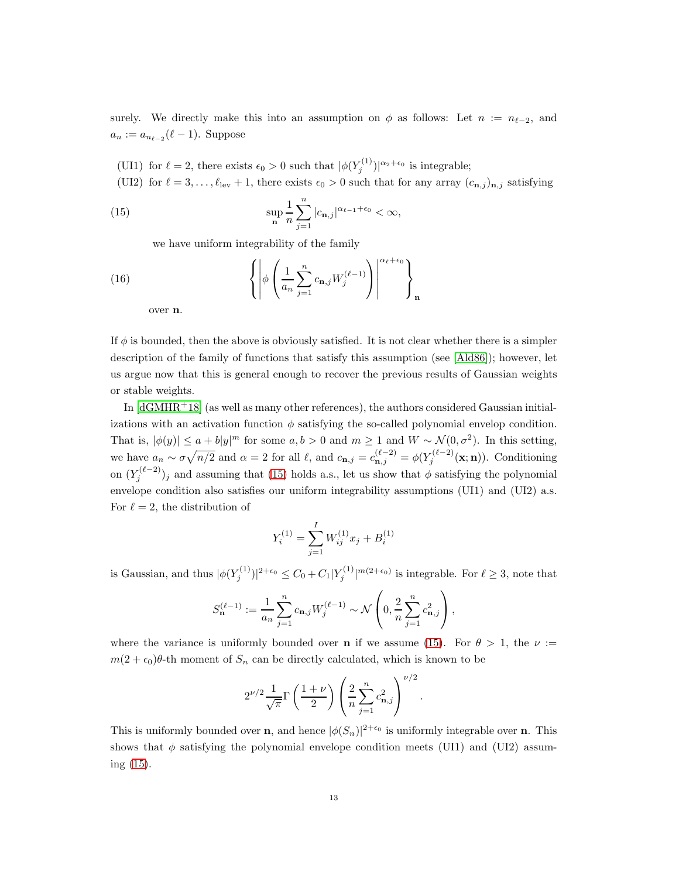surely. We directly make this into an assumption on  $\phi$  as follows: Let  $n := n_{\ell-2}$ , and  $a_n := a_{n_{\ell-2}}(\ell-1)$ . Suppose

- (UI1) for  $\ell = 2$ , there exists  $\epsilon_0 > 0$  such that  $|\phi(Y_j^{(1)})|^{\alpha_2 + \epsilon_0}$  is integrable;
- (UI2) for  $\ell = 3, \ldots, \ell_{\text{lev}} + 1$ , there exists  $\epsilon_0 > 0$  such that for any array  $(c_{n,j})_{n,j}$  satisfying

<span id="page-12-0"></span>(15) 
$$
\sup_{\mathbf{n}} \frac{1}{n} \sum_{j=1}^{n} |c_{\mathbf{n},j}|^{\alpha_{\ell-1}+\epsilon_0} < \infty,
$$

we have uniform integrability of the family

(16) 
$$
\left\{ \left| \phi \left( \frac{1}{a_n} \sum_{j=1}^n c_{\mathbf{n},j} W_j^{(\ell-1)} \right) \right| \right\}^{\alpha_{\ell} + \epsilon_0} \right\}_\mathbf{n}
$$

over n.

If  $\phi$  is bounded, then the above is obviously satisfied. It is not clear whether there is a simpler description of the family of functions that satisfy this assumption (see [\[Ald86\]](#page-23-3)); however, let us argue now that this is general enough to recover the previous results of Gaussian weights or stable weights.

In  $\left[\text{dGMHR}^+\text{18}\right]$  (as well as many other references), the authors considered Gaussian initializations with an activation function  $\phi$  satisfying the so-called polynomial envelop condition. That is,  $|\phi(y)| \le a + b|y|^m$  for some  $a, b > 0$  and  $m \ge 1$  and  $W \sim \mathcal{N}(0, \sigma^2)$ . In this setting, we have  $a_n \sim \sigma \sqrt{n/2}$  and  $\alpha = 2$  for all  $\ell$ , and  $c_{\mathbf{n},j} = c_{\mathbf{n},j}^{(\ell-2)} = \phi(Y_j^{(\ell-2)}(\mathbf{x}; \mathbf{n}))$ . Conditioning on  $(Y_j^{(\ell-2)})_j$  and assuming that [\(15\)](#page-12-0) holds a.s., let us show that  $\phi$  satisfying the polynomial envelope condition also satisfies our uniform integrability assumptions (UI1) and (UI2) a.s. For  $\ell = 2$ , the distribution of

$$
Y_i^{(1)} = \sum_{j=1}^I W_{ij}^{(1)} x_j + B_i^{(1)}
$$

is Gaussian, and thus  $|\phi(Y_j^{(1)})|^{2+\epsilon_0} \leq C_0 + C_1 |Y_j^{(1)}|^{m(2+\epsilon_0)}$  is integrable. For  $\ell \geq 3$ , note that

$$
S_{\mathbf{n}}^{(\ell-1)}:=\frac{1}{a_n}\sum_{j=1}^n c_{\mathbf{n},j}W_j^{(\ell-1)}\sim \mathcal{N}\left(0,\frac{2}{n}\sum_{j=1}^n c_{\mathbf{n},j}^2\right),
$$

where the variance is uniformly bounded over **n** if we assume [\(15\)](#page-12-0). For  $\theta > 1$ , the  $\nu :=$  $m(2 + \epsilon_0)\theta$ -th moment of  $S_n$  can be directly calculated, which is known to be

 $\sqrt{2}$ 

$$
2^{\nu/2} \frac{1}{\sqrt{\pi}} \Gamma\left(\frac{1+\nu}{2}\right) \left(\frac{2}{n} \sum_{j=1}^{n} c_{\mathbf{n},j}^{2}\right)^{\nu/2}.
$$

This is uniformly bounded over **n**, and hence  $|\phi(S_n)|^{2+\epsilon_0}$  is uniformly integrable over **n**. This shows that  $\phi$  satisfying the polynomial envelope condition meets (UI1) and (UI2) assuming [\(15\)](#page-12-0).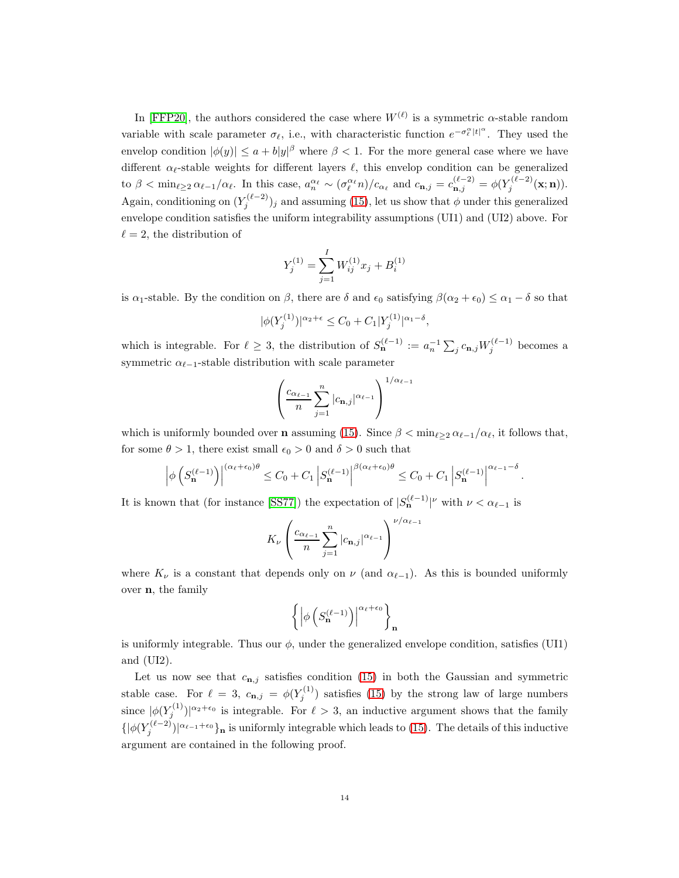In [\[FFP20\]](#page-23-2), the authors considered the case where  $W^{(\ell)}$  is a symmetric  $\alpha$ -stable random variable with scale parameter  $\sigma_{\ell}$ , i.e., with characteristic function  $e^{-\sigma_{\ell}^{\alpha}|t|^{\alpha}}$ . They used the envelop condition  $|\phi(y)| \le a + b|y|^\beta$  where  $\beta < 1$ . For the more general case where we have different  $\alpha_{\ell}$ -stable weights for different layers  $\ell$ , this envelop condition can be generalized to  $\beta < \min_{\ell \geq 2} \alpha_{\ell-1}/\alpha_{\ell}$ . In this case,  $a_n^{\alpha_{\ell}} \sim (\sigma_{\ell}^{\alpha_{\ell}} n)/c_{\alpha_{\ell}}$  and  $c_{\mathbf{n},j} = c_{\mathbf{n},j}^{(\ell-2)} = \phi(Y_j^{(\ell-2)})$  $j^{(\ell-2)}(\mathbf{x};\mathbf{n})).$ Again, conditioning on  $(Y_j^{(\ell-2)})_j$  and assuming [\(15\)](#page-12-0), let us show that  $\phi$  under this generalized envelope condition satisfies the uniform integrability assumptions (UI1) and (UI2) above. For  $\ell = 2$ , the distribution of

$$
Y_j^{(1)} = \sum_{j=1}^I W_{ij}^{(1)} x_j + B_i^{(1)}
$$

is  $\alpha_1$ -stable. By the condition on  $\beta$ , there are  $\delta$  and  $\epsilon_0$  satisfying  $\beta(\alpha_2 + \epsilon_0) \leq \alpha_1 - \delta$  so that

$$
|\phi(Y_j^{(1)})|^{\alpha_2+\epsilon} \le C_0 + C_1 |Y_j^{(1)}|^{\alpha_1-\delta},
$$

which is integrable. For  $\ell \geq 3$ , the distribution of  $S_{\mathbf{n}}^{(\ell-1)} := a_n^{-1} \sum_j c_{\mathbf{n},j} W_j^{(\ell-1)}$  becomes a symmetric  $\alpha_{\ell-1}$ -stable distribution with scale parameter

$$
\left(\frac{c_{\alpha_{\ell-1}}}{n}\sum_{j=1}^n|c_{\mathbf{n},j}|^{\alpha_{\ell-1}}\right)^{1/\alpha_{\ell-1}}
$$

which is uniformly bounded over **n** assuming [\(15\)](#page-12-0). Since  $\beta < \min_{\ell \geq 2} \alpha_{\ell-1}/\alpha_{\ell}$ , it follows that, for some  $\theta > 1$ , there exist small  $\epsilon_0 > 0$  and  $\delta > 0$  such that

$$
\left| \phi \left( S_{\mathbf{n}}^{(\ell-1)} \right) \right|^{(\alpha_{\ell} + \epsilon_0) \theta} \le C_0 + C_1 \left| S_{\mathbf{n}}^{(\ell-1)} \right|^{\beta(\alpha_{\ell} + \epsilon_0) \theta} \le C_0 + C_1 \left| S_{\mathbf{n}}^{(\ell-1)} \right|^{\alpha_{\ell-1} - \delta}
$$

.

It is known that (for instance [\[SS77\]](#page-24-9)) the expectation of  $|S_{\mathbf{n}}^{(\ell-1)}|$ <sup>v</sup> with  $\nu < \alpha_{\ell-1}$  is

$$
K_{\nu}\left(\frac{c_{\alpha_{\ell-1}}}{n}\sum_{j=1}^{n}|c_{\mathbf{n},j}|^{\alpha_{\ell-1}}\right)^{\nu/\alpha_{\ell-1}}
$$

where  $K_{\nu}$  is a constant that depends only on  $\nu$  (and  $\alpha_{\ell-1}$ ). As this is bounded uniformly over n, the family

$$
\left\{\left|\phi\left(S_{\mathbf{n}}^{(\ell-1)}\right)\right|^{\alpha_{\ell}+\epsilon_{0}}\right\}_{\mathbf{n}}
$$

is uniformly integrable. Thus our  $\phi$ , under the generalized envelope condition, satisfies (UI1) and (UI2).

Let us now see that  $c_{n,j}$  satisfies condition [\(15\)](#page-12-0) in both the Gaussian and symmetric stable case. For  $\ell = 3$ ,  $c_{\mathbf{n},j} = \phi(Y_j^{(1)})$  $j_j^{(1)}$ ) satisfies [\(15\)](#page-12-0) by the strong law of large numbers since  $|\phi(Y_j^{(1)})|^{\alpha_2+\epsilon_0}$  is integrable. For  $\ell > 3$ , an inductive argument shows that the family  $\{|\phi(Y_j^{(\ell-2)})|^{\alpha_{\ell-1}+\epsilon_0}\}\$ n is uniformly integrable which leads to [\(15\)](#page-12-0). The details of this inductive argument are contained in the following proof.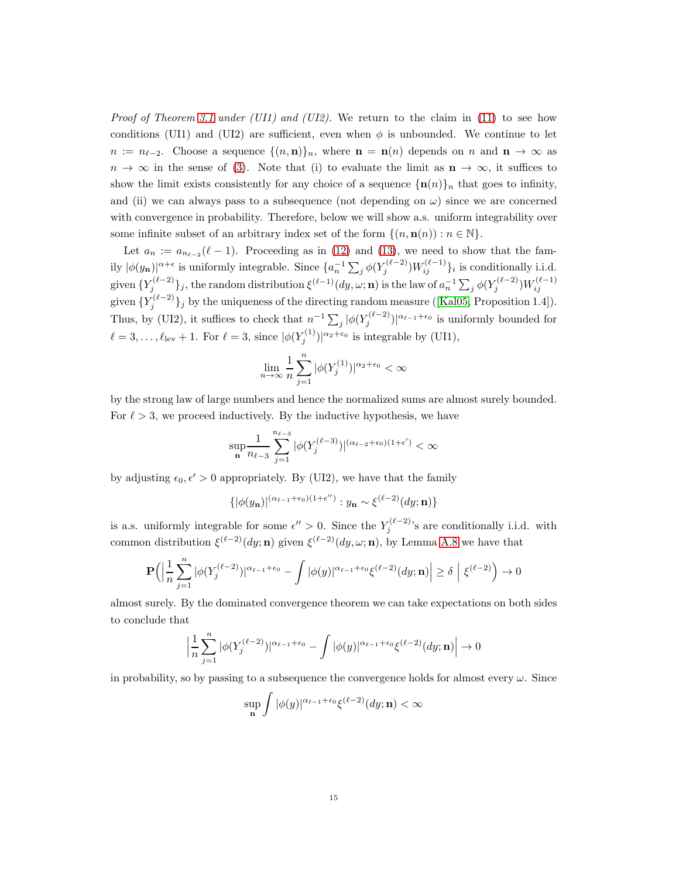*Proof of Theorem [3.1](#page-4-1) under (UI1) and (UI2).* We return to the claim in [\(11\)](#page-9-2) to see how conditions (UI1) and (UI2) are sufficient, even when  $\phi$  is unbounded. We continue to let  $n := n_{\ell-2}$ . Choose a sequence  $\{(n, n)\}_n$ , where  $n = n(n)$  depends on n and  $n \to \infty$  as  $n \to \infty$  in the sense of [\(3\)](#page-4-2). Note that (i) to evaluate the limit as  $n \to \infty$ , it suffices to show the limit exists consistently for any choice of a sequence  $\{\mathbf{n}(n)\}\$ <sub>n</sub> that goes to infinity, and (ii) we can always pass to a subsequence (not depending on  $\omega$ ) since we are concerned with convergence in probability. Therefore, below we will show a.s. uniform integrability over some infinite subset of an arbitrary index set of the form  $\{(n, \mathbf{n}(n)) : n \in \mathbb{N}\}.$ 

Let  $a_n := a_{n_{\ell-2}}(\ell-1)$ . Proceeding as in [\(12\)](#page-9-0) and [\(13\)](#page-9-1), we need to show that the family  $|\phi(y_n)|^{\alpha+\epsilon}$  is uniformly integrable. Since  $\{a_n^{-1}\sum_j \phi(Y_j^{(\ell-2)})W_{ij}^{(\ell-1)}\}_i$  is conditionally i.i.d. given  $\{Y_j^{(\ell-2)}\}_j$ , the random distribution  $\xi^{(\ell-1)}(dy,\omega;{\mathbf n})$  is the law of  $a_n^{-1}\sum_j \phi(Y_j^{(\ell-2)})W_{ij}^{(\ell-1)}$ given  $\{Y_j^{(\ell-2)}\}$  $j_j^{(k-2)}$ by the uniqueness of the directing random measure ([\[Kal05,](#page-23-4) Proposition 1.4]). Thus, by (UI2), it suffices to check that  $n^{-1} \sum_j |\phi(Y_j^{(\ell-2)})|^{\alpha_{\ell-1}+\epsilon_0}$  is uniformly bounded for  $\ell = 3, \ldots, \ell_{\text{lev}} + 1$ . For  $\ell = 3$ , since  $|\phi(Y_j^{(1)})|^{\alpha_2 + \epsilon_0}$  is integrable by (UI1),

$$
\lim_{n \to \infty} \frac{1}{n} \sum_{j=1}^{n} |\phi(Y_j^{(1)})|^{\alpha_2 + \epsilon_0} < \infty
$$

by the strong law of large numbers and hence the normalized sums are almost surely bounded. For  $\ell > 3$ , we proceed inductively. By the inductive hypothesis, we have

$$
\sup_{\mathbf{n}}\frac{1}{n_{\ell-3}}\sum_{j=1}^{n_{\ell-3}}|\phi(Y^{(\ell-3)}_j)|^{(\alpha_{\ell-2}+\epsilon_0)(1+\epsilon')}<\infty
$$

by adjusting  $\epsilon_0, \epsilon' > 0$  appropriately. By (UI2), we have that the family

$$
\{|\phi(y_{\mathbf{n}})|^{(\alpha_{\ell-1}+\epsilon_0)(1+\epsilon'')} : y_{\mathbf{n}} \sim \xi^{(\ell-2)}(dy; \mathbf{n})\}
$$

is a.s. uniformly integrable for some  $\epsilon'' > 0$ . Since the  $Y_j^{(\ell-2)}$ 's are conditionally i.i.d. with common distribution  $\xi^{(\ell-2)}(dy;\mathbf{n})$  given  $\xi^{(\ell-2)}(dy,\omega;\mathbf{n})$ , by Lemma [A.8](#page-22-0) we have that

$$
\mathbf{P}\Big(\Big|\frac{1}{n}\sum_{j=1}^n|\phi(Y_j^{(\ell-2)})|^{\alpha_{\ell-1}+\epsilon_0}-\int|\phi(y)|^{\alpha_{\ell-1}+\epsilon_0}\xi^{(\ell-2)}(\mathop{}\!\mathrm{d} y;\mathbf{n})\Big|\geq\delta~\Big|~\xi^{(\ell-2)}\Big)\rightarrow 0
$$

almost surely. By the dominated convergence theorem we can take expectations on both sides to conclude that

$$
\left|\frac{1}{n}\sum_{j=1}^n |\phi(Y_j^{(\ell-2)})|^{\alpha_{\ell-1}+\epsilon_0} - \int |\phi(y)|^{\alpha_{\ell-1}+\epsilon_0} \xi^{(\ell-2)}(dy;\mathbf{n})\right| \to 0
$$

in probability, so by passing to a subsequence the convergence holds for almost every  $\omega$ . Since

$$
\sup_{\mathbf{n}}\int |\phi(y)|^{\alpha_{\ell-1}+\epsilon_0}\xi^{(\ell-2)}(dy;\mathbf{n})<\infty
$$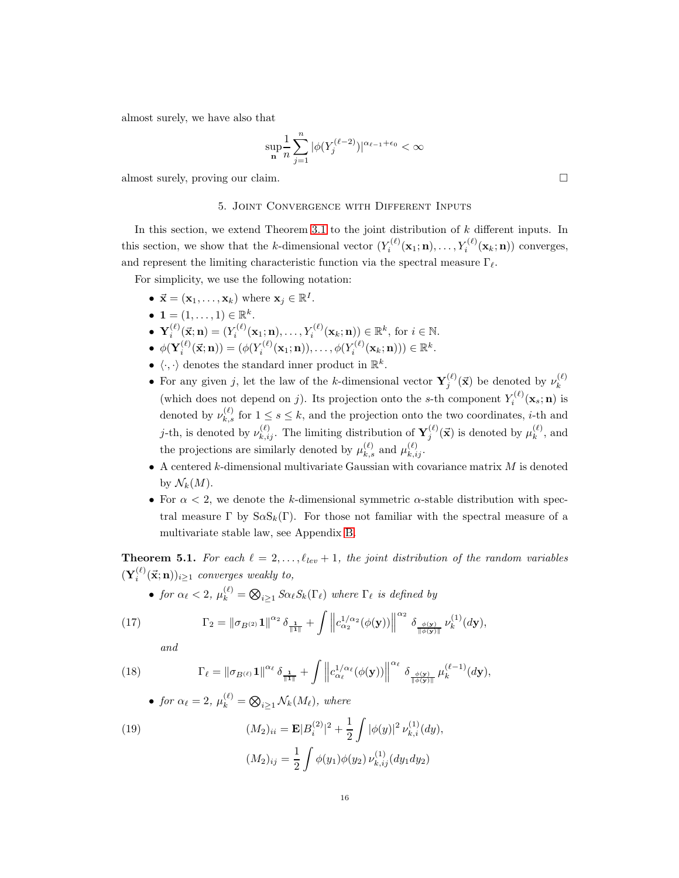almost surely, we have also that

$$
\sup_{\mathbf{n}}\frac{1}{n}\sum_{j=1}^n|\phi(Y_j^{(\ell-2)})|^{\alpha_{\ell-1}+\epsilon_0}<\infty
$$

<span id="page-15-1"></span>almost surely, proving our claim.

## 5. Joint Convergence with Different Inputs

In this section, we extend Theorem [3.1](#page-4-1) to the joint distribution of  $k$  different inputs. In this section, we show that the k-dimensional vector  $(Y_i^{(\ell)})$  $Y_i^{(\ell)}(\mathbf{x}_1; \mathbf{n}), \ldots, Y_i^{(\ell)}(\mathbf{x}_k; \mathbf{n}))$  converges, and represent the limiting characteristic function via the spectral measure  $\Gamma_{\ell}$ .

For simplicity, we use the following notation:

- $\vec{\mathbf{x}} = (\mathbf{x}_1, \dots, \mathbf{x}_k)$  where  $\mathbf{x}_j \in \mathbb{R}^I$ .
- $\mathbf{1} = (1, \ldots, 1) \in \mathbb{R}^k$ .
- $\bullet$   $\mathbf{Y}_i^{(\ell)}$  $i^{(\ell)}(\vec{\mathbf{x}}; \mathbf{n}) = (Y_i^{(\ell)})$  $Y_i^{(\ell)}(\mathbf{x}_1;\mathbf{n}),\ldots,Y_i^{(\ell)}(\mathbf{x}_k;\mathbf{n})) \in \mathbb{R}^k$ , for  $i \in \mathbb{N}$ .
- $\phi(\mathbf{Y}_i^{(\ell)}(\vec{x}; \mathbf{n})) = (\phi(Y_i^{(\ell)}(\mathbf{x}_1; \mathbf{n})), \dots, \phi(Y_i^{(\ell)}(\mathbf{x}_k; \mathbf{n}))) \in \mathbb{R}^k$ .
- $\langle \cdot, \cdot \rangle$  denotes the standard inner product in  $\mathbb{R}^k$ .
- For any given j, let the law of the k-dimensional vector  $\mathbf{Y}_{j}^{(\ell)}(\vec{x})$  be denoted by  $\nu_k^{(\ell)}$ k (which does not depend on j). Its projection onto the s-th component  $Y_i^{(\ell)}$  $\zeta_i^{(\epsilon)}(\mathbf{x}_s;\mathbf{n})$  is denoted by  $\nu_{k,s}^{(\ell)}$  for  $1 \leq s \leq k$ , and the projection onto the two coordinates, *i*-th and j-th, is denoted by  $\nu_{k,ij}^{(\ell)}$ . The limiting distribution of  $\mathbf{Y}_j^{(\ell)}$  $j^{(\ell)}(\vec{x})$  is denoted by  $\mu_k^{(\ell)}$  $\binom{k}{k}$ , and the projections are similarly denoted by  $\mu_{k,s}^{(\ell)}$  and  $\mu_{k,ij}^{(\ell)}$ .
- $\bullet$  A centered k-dimensional multivariate Gaussian with covariance matrix  $M$  is denoted by  $\mathcal{N}_k(M)$ .
- For  $\alpha < 2$ , we denote the k-dimensional symmetric  $\alpha$ -stable distribution with spectral measure Γ by  $S \alpha S_k(\Gamma)$ . For those not familiar with the spectral measure of a multivariate stable law, see Appendix [B.](#page-22-1)

<span id="page-15-0"></span>**Theorem 5.1.** For each  $\ell = 2, \ldots, \ell_{lev} + 1$ , the joint distribution of the random variables  $(\mathbf{Y}^{(\ell)}_i(\vec{\mathbf{x}};\mathbf{n}))_{i\geq 1}$  converges weakly to,

• for 
$$
\alpha_{\ell} < 2
$$
,  $\mu_k^{(\ell)} = \bigotimes_{i \geq 1} S \alpha_{\ell} S_k(\Gamma_{\ell})$  where  $\Gamma_{\ell}$  is defined by

<span id="page-15-2"></span>(17) 
$$
\Gamma_2 = \|\sigma_{B^{(2)}} 1\|^{\alpha_2} \delta_{\frac{1}{\|\mathbf{1}\|}} + \int \left\|c_{\alpha_2}^{1/\alpha_2}(\phi(\mathbf{y}))\right\|^{\alpha_2} \delta_{\frac{\phi(\mathbf{y})}{\|\phi(\mathbf{y})\|}} \nu_k^{(1)}(d\mathbf{y}),
$$

and

<span id="page-15-4"></span>(18) 
$$
\Gamma_{\ell} = \|\sigma_{B^{(\ell)}} \mathbf{1}\|^{\alpha_{\ell}} \delta_{\frac{1}{\|\mathbf{1}\|}} + \int \left\|c_{\alpha_{\ell}}^{1/\alpha_{\ell}}(\phi(\mathbf{y}))\right\|^{\alpha_{\ell}} \delta_{\frac{\phi(\mathbf{y})}{\|\phi(\mathbf{y})\|}} \mu_{k}^{(\ell-1)}(d\mathbf{y}),
$$

• for 
$$
\alpha_{\ell} = 2
$$
,  $\mu_k^{(\ell)} = \bigotimes_{i \geq 1} \mathcal{N}_k(M_{\ell})$ , where

<span id="page-15-3"></span>(19) 
$$
(M_2)_{ii} = \mathbf{E} |B_i^{(2)}|^2 + \frac{1}{2} \int |\phi(y)|^2 \nu_{k,i}^{(1)}(dy),
$$

$$
(M_2)_{ij} = \frac{1}{2} \int \phi(y_1) \phi(y_2) \nu_{k,ij}^{(1)}(dy_1 dy_2)
$$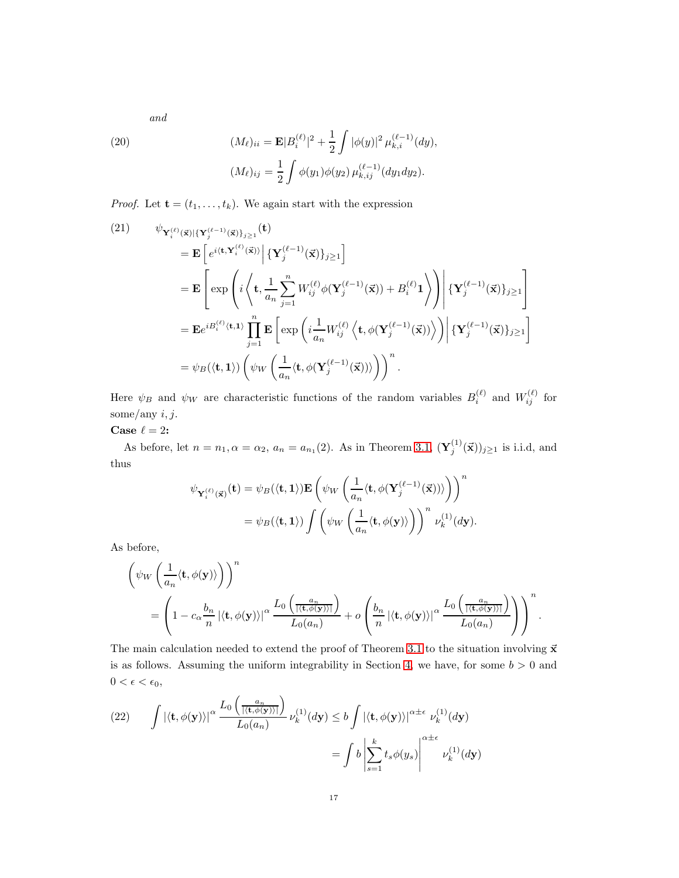and

<span id="page-16-2"></span>(20) 
$$
(M_{\ell})_{ii} = \mathbf{E} |B_i^{(\ell)}|^2 + \frac{1}{2} \int |\phi(y)|^2 \mu_{k,i}^{(\ell-1)}(dy),
$$

$$
(M_{\ell})_{ij} = \frac{1}{2} \int \phi(y_1) \phi(y_2) \mu_{k,ij}^{(\ell-1)}(dy_1 dy_2).
$$

*Proof.* Let  $\mathbf{t} = (t_1, \ldots, t_k)$ . We again start with the expression

<span id="page-16-0"></span>(21) 
$$
\psi_{\mathbf{Y}_{i}^{(\ell)}(\vec{\mathbf{x}})|\{\mathbf{Y}_{j}^{(\ell-1)}(\vec{\mathbf{x}})\}_{j\geq 1}}(\mathbf{t})
$$
\n
$$
= \mathbf{E}\left[e^{i\langle\mathbf{t},\mathbf{Y}_{i}^{(\ell)}(\vec{\mathbf{x}})\rangle}\Big|\{\mathbf{Y}_{j}^{(\ell-1)}(\vec{\mathbf{x}})\}_{j\geq 1}\right]
$$
\n
$$
= \mathbf{E}\left[\exp\left(i\left\langle\mathbf{t},\frac{1}{a_{n}}\sum_{j=1}^{n}W_{ij}^{(\ell)}\phi(\mathbf{Y}_{j}^{(\ell-1)}(\vec{\mathbf{x}}))+B_{i}^{(\ell)}\mathbf{1}\right\rangle\right)\Big|\{\mathbf{Y}_{j}^{(\ell-1)}(\vec{\mathbf{x}})\}_{j\geq 1}\right]
$$
\n
$$
= \mathbf{E}e^{iB_{i}^{(\ell)}\langle\mathbf{t},\mathbf{1}\rangle}\prod_{j=1}^{n}\mathbf{E}\left[\exp\left(i\frac{1}{a_{n}}W_{ij}^{(\ell)}\left\langle\mathbf{t},\phi(\mathbf{Y}_{j}^{(\ell-1)}(\vec{\mathbf{x}}))\right\rangle\right)\Big|\{\mathbf{Y}_{j}^{(\ell-1)}(\vec{\mathbf{x}})\}_{j\geq 1}\right]
$$
\n
$$
= \psi_{B}(\langle\mathbf{t},\mathbf{1}\rangle)\left(\psi_{W}\left(\frac{1}{a_{n}}\langle\mathbf{t},\phi(\mathbf{Y}_{j}^{(\ell-1)}(\vec{\mathbf{x}}))\rangle\right)\right)^{n}.
$$

Here  $\psi_B$  and  $\psi_W$  are characteristic functions of the random variables  $B_i^{(\ell)}$  and  $W_{ij}^{(\ell)}$  for some/any  $i, j$ .

Case  $\ell=2$ :

As before, let  $n = n_1, \alpha = \alpha_2, a_n = a_{n_1}(2)$ . As in Theorem [3.1,](#page-4-1)  $(\mathbf{Y}_j^{(1)}(\vec{x}))_{j \geq 1}$  is i.i.d, and thus

$$
\psi_{\mathbf{Y}_{i}^{(\ell)}(\vec{\mathbf{x}})}(\mathbf{t}) = \psi_{B}(\langle \mathbf{t}, \mathbf{1} \rangle) \mathbf{E} \left( \psi_{W} \left( \frac{1}{a_{n}} \langle \mathbf{t}, \phi(\mathbf{Y}_{j}^{(\ell-1)}(\vec{\mathbf{x}})) \rangle \right) \right)^{n}
$$

$$
= \psi_{B}(\langle \mathbf{t}, \mathbf{1} \rangle) \int \left( \psi_{W} \left( \frac{1}{a_{n}} \langle \mathbf{t}, \phi(\mathbf{y}) \rangle \right) \right)^{n} \nu_{k}^{(1)}(d\mathbf{y}).
$$

As before,

$$
\left(\psi_W\left(\frac{1}{a_n}\langle \mathbf{t}, \phi(\mathbf{y})\rangle\right)\right)^n = \left(1 - c_\alpha \frac{b_n}{n} |\langle \mathbf{t}, \phi(\mathbf{y})\rangle|^{\alpha} \frac{L_0\left(\frac{a_n}{|\langle \mathbf{t}, \phi(\mathbf{y})\rangle|}\right)}{L_0(a_n)} + o\left(\frac{b_n}{n} |\langle \mathbf{t}, \phi(\mathbf{y})\rangle|^{\alpha} \frac{L_0\left(\frac{a_n}{|\langle \mathbf{t}, \phi(\mathbf{y})\rangle|}\right)}{L_0(a_n)}\right)\right)^n.
$$

The main calculation needed to extend the proof of Theorem [3.1](#page-4-1) to the situation involving  $\vec{x}$ is as follows. Assuming the uniform integrability in Section [4,](#page-11-0) we have, for some  $b > 0$  and  $0 < \epsilon < \epsilon_0,$ 

<span id="page-16-1"></span>(22) 
$$
\int |\langle \mathbf{t}, \phi(\mathbf{y}) \rangle|^{\alpha} \frac{L_0\left(\frac{a_n}{|\langle \mathbf{t}, \phi(\mathbf{y}) \rangle|}\right)}{L_0(a_n)} \nu_k^{(1)}(d\mathbf{y}) \le b \int |\langle \mathbf{t}, \phi(\mathbf{y}) \rangle|^{\alpha \pm \epsilon} \nu_k^{(1)}(d\mathbf{y})
$$

$$
= \int b \left| \sum_{s=1}^k t_s \phi(y_s) \right|^{\alpha \pm \epsilon} \nu_k^{(1)}(d\mathbf{y})
$$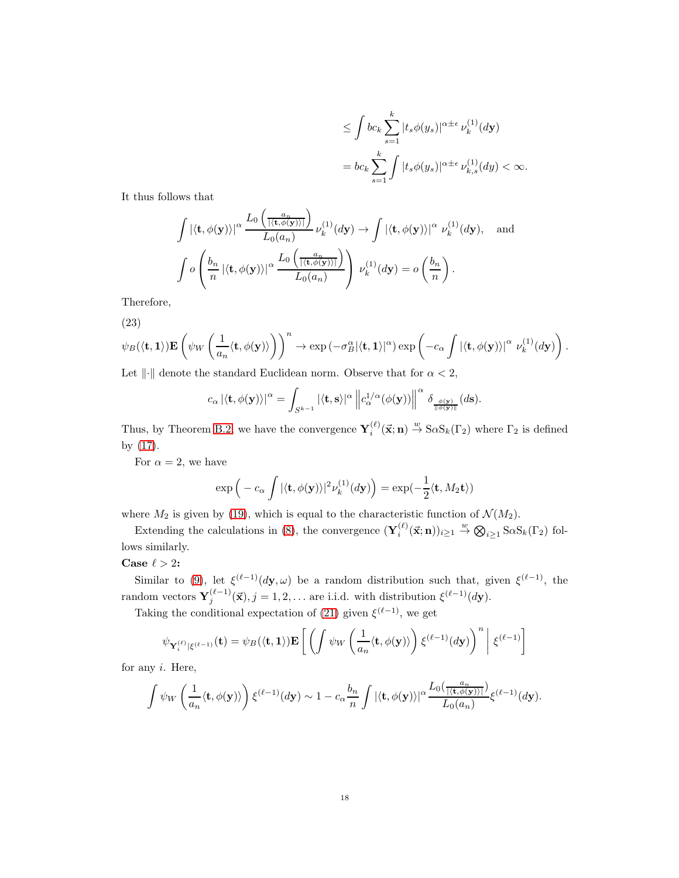$$
\leq \int bc_k \sum_{s=1}^k |t_s \phi(y_s)|^{\alpha \pm \epsilon} \nu_k^{(1)}(d\mathbf{y})
$$
  
= 
$$
bc_k \sum_{s=1}^k \int |t_s \phi(y_s)|^{\alpha \pm \epsilon} \nu_{k,s}^{(1)}(dy) < \infty.
$$

It thus follows that

$$
\int |\langle \mathbf{t}, \phi(\mathbf{y}) \rangle|^{\alpha} \frac{L_0\left(\frac{a_n}{|\langle \mathbf{t}, \phi(\mathbf{y}) \rangle|}\right)}{L_0(a_n)} \nu_k^{(1)}(d\mathbf{y}) \to \int |\langle \mathbf{t}, \phi(\mathbf{y}) \rangle|^{\alpha} \nu_k^{(1)}(d\mathbf{y}), \text{ and}
$$

$$
\int o\left(\frac{b_n}{n} |\langle \mathbf{t}, \phi(\mathbf{y}) \rangle|^{\alpha} \frac{L_0\left(\frac{a_n}{|\langle \mathbf{t}, \phi(\mathbf{y}) \rangle|}\right)}{L_0(a_n)}\right) \nu_k^{(1)}(d\mathbf{y}) = o\left(\frac{b_n}{n}\right).
$$

Therefore,

$$
(23)
$$

$$
\psi_B(\langle \mathbf{t}, \mathbf{1} \rangle) \mathbf{E} \left( \psi_W \left( \frac{1}{a_n} \langle \mathbf{t}, \phi(\mathbf{y}) \rangle \right) \right)^n \to \exp \left( -\sigma_B^{\alpha} |\langle \mathbf{t}, \mathbf{1} \rangle|^{\alpha} \right) \exp \left( -c_{\alpha} \int |\langle \mathbf{t}, \phi(\mathbf{y}) \rangle|^{\alpha} \nu_k^{(1)}(d\mathbf{y}) \right).
$$

Let  $\|\cdot\|$  denote the standard Euclidean norm. Observe that for  $\alpha < 2$ ,

$$
c_\alpha \left| \langle \mathbf t, \phi(\mathbf y) \rangle \right|^\alpha = \int_{S^{k-1}} |\langle \mathbf t, \mathbf s \rangle|^\alpha \left\| c_\alpha^{1/\alpha}(\phi(\mathbf y)) \right\|^\alpha \, \delta_{\frac{\phi(\mathbf y)}{\|\phi(\mathbf y)\|}}(d\mathbf s).
$$

Thus, by Theorem [B.2,](#page-22-2) we have the convergence  $\mathbf{Y}_i^{(\ell)}(\vec{\mathbf{x}};\mathbf{n}) \stackrel{w}{\rightarrow} \text{SoS}_k(\Gamma_2)$  where  $\Gamma_2$  is defined by [\(17\)](#page-15-2).

For  $\alpha = 2$ , we have

$$
\exp\left(-c_{\alpha}\int |\langle \mathbf{t}, \phi(\mathbf{y})\rangle|^2 \nu_k^{(1)}(d\mathbf{y})\right) = \exp(-\frac{1}{2}\langle \mathbf{t}, M_2\mathbf{t}\rangle)
$$

where  $M_2$  is given by [\(19\)](#page-15-3), which is equal to the characteristic function of  $\mathcal{N}(M_2)$ .

Extending the calculations in [\(8\)](#page-7-0), the convergence  $(\mathbf{Y}_i^{(\ell)}(\vec{x}; n))_{i \geq 1} \stackrel{w}{\to} \bigotimes_{i \geq 1} S \alpha S_k(\Gamma_2)$  follows similarly.

## Case  $\ell > 2$ :

Similar to [\(9\)](#page-8-0), let  $\xi^{(\ell-1)}(d\mathbf{y},\omega)$  be a random distribution such that, given  $\xi^{(\ell-1)}$ , the random vectors  $\mathbf{Y}_{j}^{(\ell-1)}(\vec{x}), j = 1, 2, \ldots$  are i.i.d. with distribution  $\xi^{(\ell-1)}(d\mathbf{y})$ .

Taking the conditional expectation of [\(21\)](#page-16-0) given  $\xi^{(\ell-1)}$ , we get

$$
\psi_{\mathbf{Y}_{i}^{(\ell)}|\xi^{(\ell-1)}}(\mathbf{t}) = \psi_B(\langle \mathbf{t}, \mathbf{1} \rangle) \mathbf{E}\left[\left(\int \psi_W \left(\frac{1}{a_n} \langle \mathbf{t}, \phi(\mathbf{y}) \rangle \right) \xi^{(\ell-1)}(\,) \right)^n \middle| \xi^{(\ell-1)}\right]
$$

for any i. Here,

$$
\int \psi_W\left(\frac{1}{a_n}\langle \mathbf{t}, \phi(\mathbf{y})\rangle\right) \xi^{(\ell-1)}(d\mathbf{y}) \sim 1 - c_\alpha \frac{b_n}{n} \int |\langle \mathbf{t}, \phi(\mathbf{y})\rangle|^\alpha \frac{L_0\left(\frac{a_n}{|\langle \mathbf{t}, \phi(\mathbf{y})\rangle|}\right)}{L_0(a_n)} \xi^{(\ell-1)}(d\mathbf{y}).
$$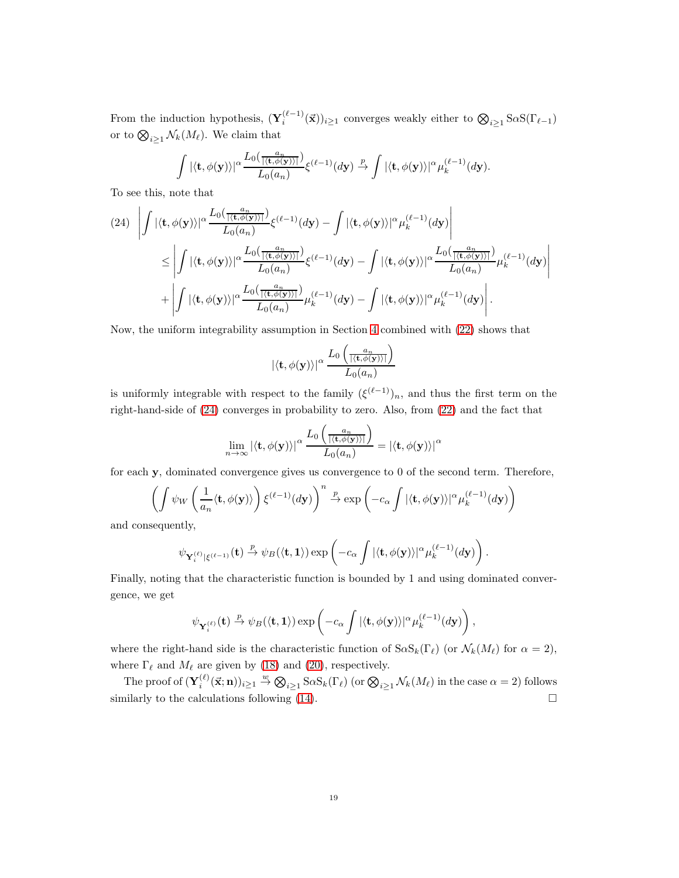From the induction hypothesis,  $(\mathbf{Y}_i^{(\ell-1)}(\vec{x}))_{i\geq 1}$  converges weakly either to  $\bigotimes_{i\geq 1} S\alpha S(\Gamma_{\ell-1})$ or to  $\bigotimes_{i\geq 1} \mathcal{N}_k(M_\ell)$ . We claim that

$$
\int |\langle \mathbf{t}, \phi(\mathbf{y}) \rangle|^{\alpha} \frac{L_0(\frac{a_n}{|\langle \mathbf{t}, \phi(\mathbf{y}) \rangle|})}{L_0(a_n)} \xi^{(\ell-1)}(d\mathbf{y}) \stackrel{p}{\to} \int |\langle \mathbf{t}, \phi(\mathbf{y}) \rangle|^{\alpha} \mu_k^{(\ell-1)}(d\mathbf{y}).
$$

To see this, note that

<span id="page-18-0"></span>
$$
(24) \left| \int |\langle \mathbf{t}, \phi(\mathbf{y}) \rangle|^{\alpha} \frac{L_0(\frac{a_n}{|\langle \mathbf{t}, \phi(\mathbf{y}) \rangle|})}{L_0(a_n)} \xi^{(\ell-1)}(d\mathbf{y}) - \int |\langle \mathbf{t}, \phi(\mathbf{y}) \rangle|^{\alpha} \mu_k^{(\ell-1)}(d\mathbf{y}) \right|
$$
  
\n
$$
\leq \left| \int |\langle \mathbf{t}, \phi(\mathbf{y}) \rangle|^{\alpha} \frac{L_0(\frac{a_n}{|\langle \mathbf{t}, \phi(\mathbf{y}) \rangle|})}{L_0(a_n)} \xi^{(\ell-1)}(d\mathbf{y}) - \int |\langle \mathbf{t}, \phi(\mathbf{y}) \rangle|^{\alpha} \frac{L_0(\frac{a_n}{|\langle \mathbf{t}, \phi(\mathbf{y}) \rangle|})}{L_0(a_n)} \mu_k^{(\ell-1)}(d\mathbf{y}) \right|
$$
  
\n
$$
+ \left| \int |\langle \mathbf{t}, \phi(\mathbf{y}) \rangle|^{\alpha} \frac{L_0(\frac{a_n}{|\langle \mathbf{t}, \phi(\mathbf{y}) \rangle|})}{L_0(a_n)} \mu_k^{(\ell-1)}(d\mathbf{y}) - \int |\langle \mathbf{t}, \phi(\mathbf{y}) \rangle|^{\alpha} \mu_k^{(\ell-1)}(d\mathbf{y}) \right|.
$$

Now, the uniform integrability assumption in Section [4](#page-11-0) combined with [\(22\)](#page-16-1) shows that

$$
|\langle \mathbf{t}, \phi(\mathbf{y}) \rangle|^{\alpha} \, \frac{L_0\left(\frac{a_n}{|\langle \mathbf{t}, \phi(\mathbf{y}) \rangle|}\right)}{L_0(a_n)}
$$

is uniformly integrable with respect to the family  $(\xi^{(\ell-1)})_n$ , and thus the first term on the right-hand-side of [\(24\)](#page-18-0) converges in probability to zero. Also, from [\(22\)](#page-16-1) and the fact that

$$
\lim_{n\to\infty}|\langle \mathbf{t},\phi(\mathbf{y})\rangle|^\alpha \, \frac{L_0\left(\frac{a_n}{|\langle \mathbf{t},\phi(\mathbf{y})\rangle|}\right)}{L_0(a_n)} = |\langle \mathbf{t},\phi(\mathbf{y})\rangle|^\alpha
$$

for each y, dominated convergence gives us convergence to 0 of the second term. Therefore,

$$
\left(\int \psi_W\left(\frac{1}{a_n}\langle \mathbf{t}, \phi(\mathbf{y})\rangle\right) \xi^{(\ell-1)}(d\mathbf{y})\right)^n \xrightarrow{p} \exp\left(-c_\alpha \int |\langle \mathbf{t}, \phi(\mathbf{y})\rangle|^\alpha \mu_k^{(\ell-1)}(d\mathbf{y})\right)
$$

and consequently,

$$
\psi_{\mathbf{Y}_i^{(\ell)}|\xi^{(\ell-1)}}(\mathbf{t}) \xrightarrow{p} \psi_B(\langle \mathbf{t}, \mathbf{1} \rangle) \exp \left( -c_\alpha \int |\langle \mathbf{t}, \phi(\mathbf{y}) \rangle|^\alpha \mu_k^{(\ell-1)}(d\mathbf{y}) \right).
$$

Finally, noting that the characteristic function is bounded by 1 and using dominated convergence, we get

$$
\psi_{\mathbf{Y}_{i}^{(\ell)}}(\mathbf{t}) \xrightarrow{p} \psi_{B}(\langle \mathbf{t}, \mathbf{1} \rangle) \exp \left(-c_{\alpha} \int |\langle \mathbf{t}, \phi(\mathbf{y}) \rangle|^{\alpha} \mu_{k}^{(\ell-1)}(d\mathbf{y})\right),
$$

where the right-hand side is the characteristic function of  $S \alpha S_k(\Gamma_\ell)$  (or  $\mathcal{N}_k(M_\ell)$  for  $\alpha = 2$ ), where  $\Gamma_{\ell}$  and  $M_{\ell}$  are given by [\(18\)](#page-15-4) and [\(20\)](#page-16-2), respectively.

The proof of  $(\mathbf{Y}_i^{(\ell)}(\vec{x}; n))_{i \geq 1} \stackrel{w}{\to} \bigotimes_{i \geq 1} S_{\alpha} S_k(\Gamma_{\ell})$  (or  $\bigotimes_{i \geq 1} \mathcal{N}_k(M_{\ell})$  in the case  $\alpha = 2$ ) follows similarly to the calculations following  $(14)$ .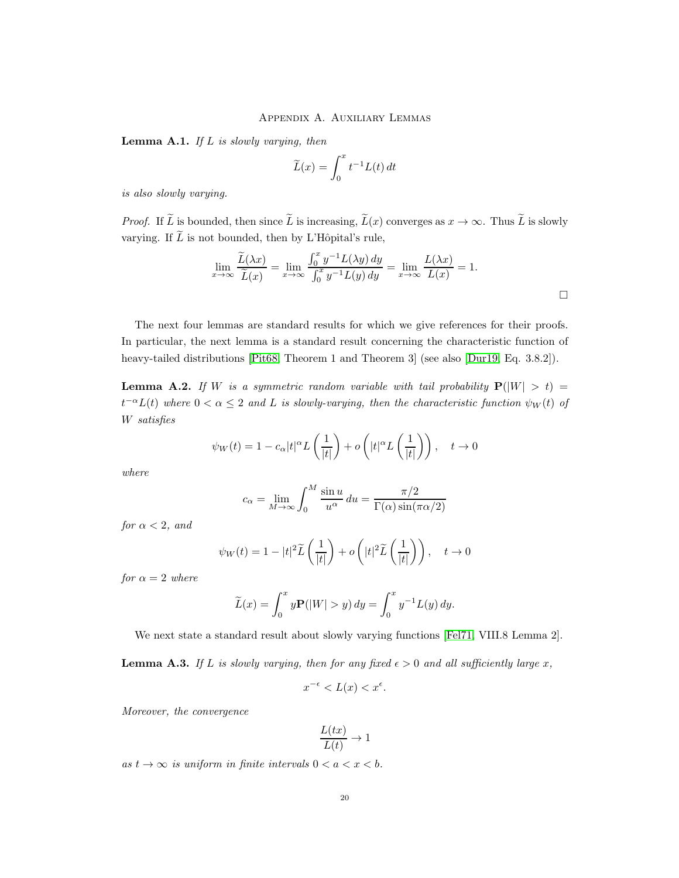## Appendix A. Auxiliary Lemmas

<span id="page-19-0"></span>**Lemma A.1.** If  $L$  is slowly varying, then

$$
\widetilde{L}(x) = \int_0^x t^{-1} L(t) dt
$$

is also slowly varying.

*Proof.* If  $\widetilde{L}$  is bounded, then since  $\widetilde{L}$  is increasing,  $\widetilde{L}(x)$  converges as  $x \to \infty$ . Thus  $\widetilde{L}$  is slowly varying. If  $\widetilde{L}$  is not bounded, then by L'Hôpital's rule,

$$
\lim_{x \to \infty} \frac{\widetilde{L}(\lambda x)}{\widetilde{L}(x)} = \lim_{x \to \infty} \frac{\int_0^x y^{-1} L(\lambda y) dy}{\int_0^x y^{-1} L(y) dy} = \lim_{x \to \infty} \frac{L(\lambda x)}{L(x)} = 1.
$$

The next four lemmas are standard results for which we give references for their proofs. In particular, the next lemma is a standard result concerning the characteristic function of heavy-tailed distributions [\[Pit68,](#page-24-10) Theorem 1 and Theorem 3] (see also [\[Dur19,](#page-23-5) Eq. 3.8.2]).

<span id="page-19-1"></span>**Lemma A.2.** If W is a symmetric random variable with tail probability  $P(|W| > t) =$  $t^{-\alpha}L(t)$  where  $0 < \alpha \leq 2$  and L is slowly-varying, then the characteristic function  $\psi_W(t)$  of W satisfies

$$
\psi_W(t) = 1 - c_\alpha |t|^\alpha L\left(\frac{1}{|t|}\right) + o\left(|t|^\alpha L\left(\frac{1}{|t|}\right)\right), \quad t \to 0
$$

where

$$
c_{\alpha} = \lim_{M \to \infty} \int_0^M \frac{\sin u}{u^{\alpha}} du = \frac{\pi/2}{\Gamma(\alpha) \sin(\pi \alpha/2)}
$$

for  $\alpha < 2$ , and

$$
\psi_W(t) = 1 - |t|^2 \widetilde{L}\left(\frac{1}{|t|}\right) + o\left(|t|^2 \widetilde{L}\left(\frac{1}{|t|}\right)\right), \quad t \to 0
$$

for  $\alpha = 2$  where

$$
\widetilde{L}(x) = \int_0^x y \mathbf{P}(|W| > y) \, dy = \int_0^x y^{-1} L(y) \, dy.
$$

We next state a standard result about slowly varying functions [\[Fel71,](#page-23-6) VIII.8 Lemma 2].

**Lemma A.3.** If L is slowly varying, then for any fixed  $\epsilon > 0$  and all sufficiently large x,

$$
x^{-\epsilon} < L(x) < x^{\epsilon}.
$$

Moreover, the convergence

$$
\frac{L(tx)}{L(t)} \to 1
$$

as  $t \to \infty$  is uniform in finite intervals  $0 < a < x < b$ .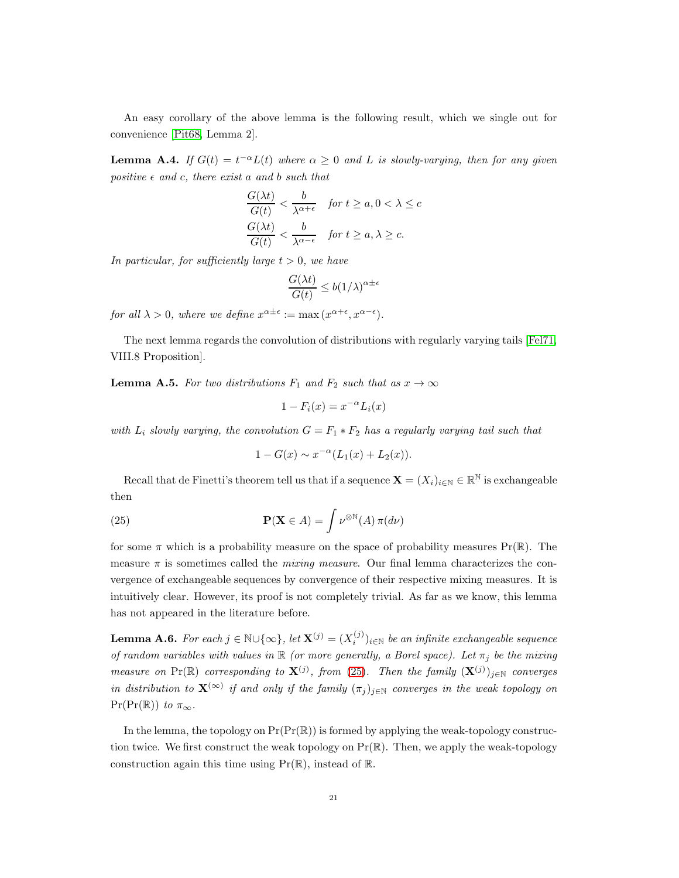An easy corollary of the above lemma is the following result, which we single out for convenience [\[Pit68,](#page-24-10) Lemma 2].

<span id="page-20-1"></span>**Lemma A.4.** If  $G(t) = t^{-\alpha}L(t)$  where  $\alpha \geq 0$  and L is slowly-varying, then for any given positive  $\epsilon$  and c, there exist a and b such that

$$
\frac{G(\lambda t)}{G(t)} < \frac{b}{\lambda^{\alpha+\epsilon}} \quad \text{for } t \ge a, 0 < \lambda \le c
$$
\n
$$
\frac{G(\lambda t)}{G(t)} < \frac{b}{\lambda^{\alpha-\epsilon}} \quad \text{for } t \ge a, \lambda \ge c.
$$

In particular, for sufficiently large  $t > 0$ , we have

$$
\frac{G(\lambda t)}{G(t)} \le b(1/\lambda)^{\alpha \pm \epsilon}
$$

for all  $\lambda > 0$ , where we define  $x^{\alpha \pm \epsilon} := \max(x^{\alpha + \epsilon}, x^{\alpha - \epsilon}).$ 

The next lemma regards the convolution of distributions with regularly varying tails [\[Fel71,](#page-23-6) VIII.8 Proposition].

**Lemma A.5.** For two distributions  $F_1$  and  $F_2$  such that as  $x \to \infty$ 

$$
1 - F_i(x) = x^{-\alpha} L_i(x)
$$

with  $L_i$  slowly varying, the convolution  $G = F_1 * F_2$  has a regularly varying tail such that

$$
1 - G(x) \sim x^{-\alpha} (L_1(x) + L_2(x)).
$$

Recall that de Finetti's theorem tell us that if a sequence  $\mathbf{X} = (X_i)_{i \in \mathbb{N}} \in \mathbb{R}^{\mathbb{N}}$  is exchangeable then

<span id="page-20-2"></span>(25) 
$$
\mathbf{P}(\mathbf{X} \in A) = \int \nu^{\otimes \mathbb{N}}(A) \,\pi(d\nu)
$$

for some  $\pi$  which is a probability measure on the space of probability measures  $Pr(\mathbb{R})$ . The measure  $\pi$  is sometimes called the *mixing measure*. Our final lemma characterizes the convergence of exchangeable sequences by convergence of their respective mixing measures. It is intuitively clear. However, its proof is not completely trivial. As far as we know, this lemma has not appeared in the literature before.

<span id="page-20-0"></span>**Lemma A.6.** For each  $j \in \mathbb{N} \cup \{\infty\}$ , let  $\mathbf{X}^{(j)} = (X_i^{(j)})_{i \in \mathbb{N}}$  be an infinite exchangeable sequence of random variables with values in  $\mathbb R$  (or more generally, a Borel space). Let  $\pi_i$  be the mixing measure on Pr( $\mathbb{R}$ ) corresponding to  $\mathbf{X}^{(j)}$ , from [\(25\)](#page-20-2). Then the family  $(\mathbf{X}^{(j)})_{j\in\mathbb{N}}$  converges in distribution to  $\mathbf{X}^{(\infty)}$  if and only if the family  $(\pi_j)_{j\in\mathbb{N}}$  converges in the weak topology on  $Pr(Pr(\mathbb{R}))$  to  $\pi_{\infty}$ .

In the lemma, the topology on  $Pr(\Pr(\mathbb{R}))$  is formed by applying the weak-topology construction twice. We first construct the weak topology on  $Pr(\mathbb{R})$ . Then, we apply the weak-topology construction again this time using  $Pr(\mathbb{R})$ , instead of  $\mathbb{R}$ .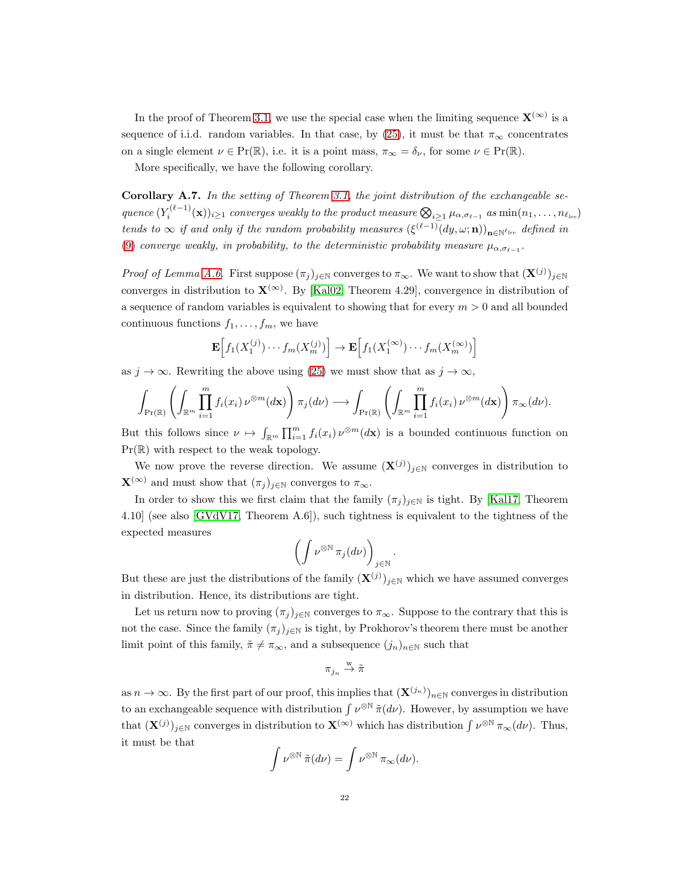In the proof of Theorem [3.1,](#page-4-1) we use the special case when the limiting sequence  $\mathbf{X}^{(\infty)}$  is a sequence of i.i.d. random variables. In that case, by [\(25\)](#page-20-2), it must be that  $\pi_{\infty}$  concentrates on a single element  $\nu \in \mathrm{Pr}(\mathbb{R})$ , i.e. it is a point mass,  $\pi_{\infty} = \delta_{\nu}$ , for some  $\nu \in \mathrm{Pr}(\mathbb{R})$ .

More specifically, we have the following corollary.

<span id="page-21-0"></span>**Corollary A.7.** In the setting of Theorem [3.1,](#page-4-1) the joint distribution of the exchangeable se- $\mathit{quence}\ (Y_i^{(\ell-1)}(\mathbf{x}))_{i\geq 1}\ \mathit{converges\ weakly\ to\ the\ product\ measure}\ \bigotimes_{i\geq 1}\mu_{\alpha,\sigma_{\ell-1}}\ as\ \min(n_1,\ldots,n_{\ell_{lev}})$ tends to  $\infty$  if and only if the random probability measures  $(\xi^{(\ell-1)}(dy,\omega;\mathbf{n}))_{\mathbf{n}\in\mathbb{N}^{\ell_{lev}}}$  defined in [\(9\)](#page-8-0) converge weakly, in probability, to the deterministic probability measure  $\mu_{\alpha,\sigma_{\ell-1}}$ .

*Proof of Lemma [A.6.](#page-20-0)* First suppose  $(\pi_j)_{j\in\mathbb{N}}$  converges to  $\pi_\infty$ . We want to show that  $(\mathbf{X}^{(j)})_{j\in\mathbb{N}}$ converges in distribution to  $\mathbf{X}^{(\infty)}$ . By [\[Kal02,](#page-23-7) Theorem 4.29], convergence in distribution of a sequence of random variables is equivalent to showing that for every  $m > 0$  and all bounded continuous functions  $f_1, \ldots, f_m$ , we have

$$
\mathbf{E}\Big[f_1(X_1^{(j)})\cdots f_m(X_m^{(j)})\Big] \to \mathbf{E}\Big[f_1(X_1^{(\infty)})\cdots f_m(X_m^{(\infty)})\Big]
$$

as  $j \to \infty$ . Rewriting the above using [\(25\)](#page-20-2) we must show that as  $j \to \infty$ ,

$$
\int_{\Pr(\mathbb{R})} \left( \int_{\mathbb{R}^m} \prod_{i=1}^m f_i(x_i) \, \nu^{\otimes m}(d\mathbf{x}) \right) \pi_j(d\nu) \longrightarrow \int_{\Pr(\mathbb{R})} \left( \int_{\mathbb{R}^m} \prod_{i=1}^m f_i(x_i) \, \nu^{\otimes m}(d\mathbf{x}) \right) \pi_\infty(d\nu).
$$

But this follows since  $\nu \mapsto \int_{\mathbb{R}^m} \prod_{i=1}^m f_i(x_i) \nu^{\otimes m}(d\mathbf{x})$  is a bounded continuous function on  $Pr(\mathbb{R})$  with respect to the weak topology.

We now prove the reverse direction. We assume  $(\mathbf{X}^{(j)})_{j\in\mathbb{N}}$  converges in distribution to  $\mathbf{X}^{(\infty)}$  and must show that  $(\pi_i)_{i\in\mathbb{N}}$  converges to  $\pi_{\infty}$ .

In order to show this we first claim that the family  $(\pi_j)_{j\in\mathbb{N}}$  is tight. By [\[Kal17,](#page-23-8) Theorem 4.10] (see also [\[GVdV17,](#page-23-9) Theorem A.6]), such tightness is equivalent to the tightness of the expected measures

$$
\left(\int \nu^{\otimes \mathbb{N}} \, \pi_j(d\nu)\right)_{j \in \mathbb{N}}.
$$

But these are just the distributions of the family  $(\mathbf{X}^{(j)})_{j\in\mathbb{N}}$  which we have assumed converges in distribution. Hence, its distributions are tight.

Let us return now to proving  $(\pi_j)_{j\in\mathbb{N}}$  converges to  $\pi_\infty$ . Suppose to the contrary that this is not the case. Since the family  $(\pi_j)_{j\in\mathbb{N}}$  is tight, by Prokhorov's theorem there must be another limit point of this family,  $\tilde{\pi} \neq \pi_{\infty}$ , and a subsequence  $(j_n)_{n \in \mathbb{N}}$  such that

$$
\pi_{j_n}\overset{\rm w}{\to}\tilde{\pi}
$$

as  $n \to \infty$ . By the first part of our proof, this implies that  $(\mathbf{X}^{(j_n)})_{n \in \mathbb{N}}$  converges in distribution to an exchangeable sequence with distribution  $\int \nu^{\otimes N} \tilde{\pi}(d\nu)$ . However, by assumption we have that  $(\mathbf{X}^{(j)})_{j\in\mathbb{N}}$  converges in distribution to  $\mathbf{X}^{(\infty)}$  which has distribution  $\int \nu^{\otimes \mathbb{N}} \pi_{\infty}(d\nu)$ . Thus, it must be that

$$
\int \nu^{\otimes \mathbb{N}} \tilde{\pi}(d\nu) = \int \nu^{\otimes \mathbb{N}} \pi_{\infty}(d\nu).
$$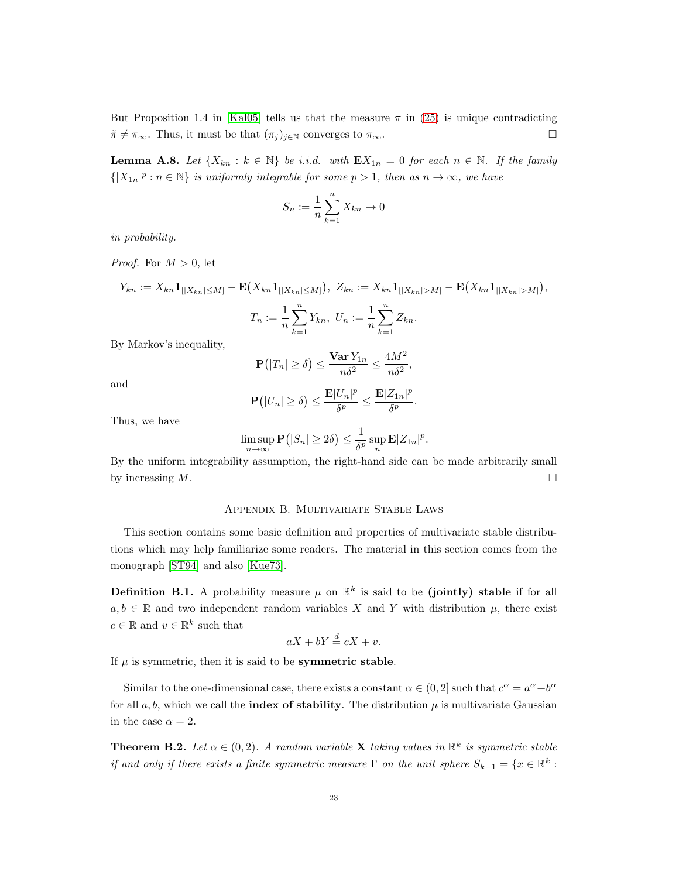But Proposition 1.4 in [\[Kal05\]](#page-23-4) tells us that the measure  $\pi$  in [\(25\)](#page-20-2) is unique contradicting  $\tilde{\pi} \neq \pi_{\infty}$ . Thus, it must be that  $(\pi_j)_{j \in \mathbb{N}}$  converges to  $\pi_{\infty}$ .

<span id="page-22-0"></span>**Lemma A.8.** Let  $\{X_{kn} : k \in \mathbb{N}\}\$  be i.i.d. with  $\mathbf{E}X_{1n} = 0$  for each  $n \in \mathbb{N}$ . If the family  $\{|X_{1n}|^p : n \in \mathbb{N}\}\$ is uniformly integrable for some  $p > 1$ , then as  $n \to \infty$ , we have

$$
S_n := \frac{1}{n} \sum_{k=1}^n X_{kn} \to 0
$$

in probability.

*Proof.* For  $M > 0$ , let

 $Y_{kn} := X_{kn} \mathbf{1}_{[|X_{kn}| \leq M]} - \mathbf{E}(X_{kn} \mathbf{1}_{[|X_{kn}| \leq M]}), Z_{kn} := X_{kn} \mathbf{1}_{[|X_{kn}| > M]} - \mathbf{E}(X_{kn} \mathbf{1}_{[|X_{kn}| > M]}),$ 

$$
T_n := \frac{1}{n} \sum_{k=1}^n Y_{kn}, \ U_n := \frac{1}{n} \sum_{k=1}^n Z_{kn}.
$$

By Markov's inequality,

$$
\mathbf{P}\big(|T_n| \ge \delta\big) \le \frac{\mathbf{Var}\,Y_{1n}}{n\delta^2} \le \frac{4M^2}{n\delta^2},
$$

and

$$
\mathbf{P}\big(|U_n|\geq \delta\big)\leq \frac{\mathbf{E}|U_n|^p}{\delta^p}\leq \frac{\mathbf{E}|Z_{1n}|^p}{\delta^p}.
$$

Thus, we have

$$
\limsup_{n\to\infty} \mathbf{P}(|S_n|\geq 2\delta) \leq \frac{1}{\delta^p} \sup_n \mathbf{E}|Z_{1n}|^p.
$$

<span id="page-22-1"></span>By the uniform integrability assumption, the right-hand side can be made arbitrarily small by increasing  $M$ .

## Appendix B. Multivariate Stable Laws

This section contains some basic definition and properties of multivariate stable distributions which may help familiarize some readers. The material in this section comes from the monograph [\[ST94\]](#page-24-7) and also [\[Kue73\]](#page-23-10).

**Definition B.1.** A probability measure  $\mu$  on  $\mathbb{R}^k$  is said to be (jointly) stable if for all  $a, b \in \mathbb{R}$  and two independent random variables X and Y with distribution  $\mu$ , there exist  $c \in \mathbb{R}$  and  $v \in \mathbb{R}^k$  such that

$$
aX + bY \stackrel{d}{=} cX + v.
$$

If  $\mu$  is symmetric, then it is said to be **symmetric stable**.

Similar to the one-dimensional case, there exists a constant  $\alpha \in (0, 2]$  such that  $c^{\alpha} = a^{\alpha} + b^{\alpha}$ for all  $a, b$ , which we call the **index of stability**. The distribution  $\mu$  is multivariate Gaussian in the case  $\alpha = 2$ .

<span id="page-22-2"></span>**Theorem B.2.** Let  $\alpha \in (0, 2)$ . A random variable **X** taking values in  $\mathbb{R}^k$  is symmetric stable if and only if there exists a finite symmetric measure  $\Gamma$  on the unit sphere  $S_{k-1} = \{x \in \mathbb{R}^k :$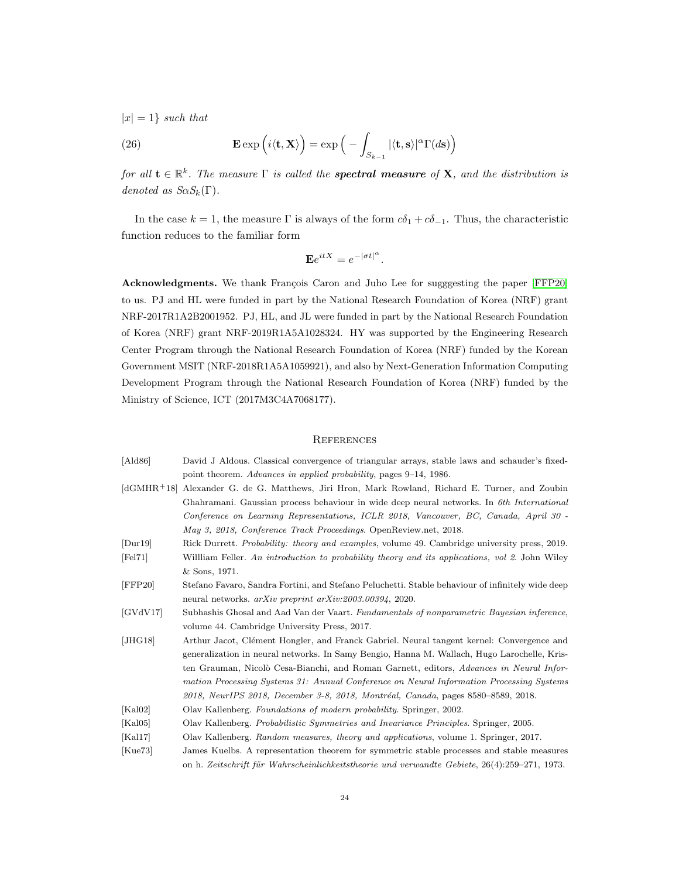$|x| = 1$  such that

(26) 
$$
\mathbf{E} \exp\left(i\langle \mathbf{t}, \mathbf{X}\rangle\right) = \exp\left(-\int_{S_{k-1}} |\langle \mathbf{t}, \mathbf{s}\rangle|^{\alpha} \Gamma(d\mathbf{s})\right)
$$

for all  $\mathbf{t} \in \mathbb{R}^k$ . The measure  $\Gamma$  is called the **spectral measure** of **X**, and the distribution is denoted as  $S_{\alpha}S_k(\Gamma)$ .

In the case  $k = 1$ , the measure Γ is always of the form  $c\delta_1 + c\delta_{-1}$ . Thus, the characteristic function reduces to the familiar form

$$
\mathbf{E}e^{itX} = e^{-|\sigma t|^{\alpha}}.
$$

Acknowledgments. We thank François Caron and Juho Lee for sugggesting the paper [\[FFP20\]](#page-23-2) to us. PJ and HL were funded in part by the National Research Foundation of Korea (NRF) grant NRF-2017R1A2B2001952. PJ, HL, and JL were funded in part by the National Research Foundation of Korea (NRF) grant NRF-2019R1A5A1028324. HY was supported by the Engineering Research Center Program through the National Research Foundation of Korea (NRF) funded by the Korean Government MSIT (NRF-2018R1A5A1059921), and also by Next-Generation Information Computing Development Program through the National Research Foundation of Korea (NRF) funded by the Ministry of Science, ICT (2017M3C4A7068177).

## **REFERENCES**

<span id="page-23-10"></span><span id="page-23-9"></span><span id="page-23-8"></span><span id="page-23-7"></span><span id="page-23-6"></span><span id="page-23-5"></span><span id="page-23-4"></span><span id="page-23-3"></span><span id="page-23-2"></span><span id="page-23-1"></span><span id="page-23-0"></span>

| [Ald86]                  | David J Aldous. Classical convergence of triangular arrays, stable laws and schauder's fixed-        |
|--------------------------|------------------------------------------------------------------------------------------------------|
|                          | point theorem. Advances in applied probability, pages 9–14, 1986.                                    |
|                          | (dGMHR+18) Alexander G. de G. Matthews, Jiri Hron, Mark Rowland, Richard E. Turner, and Zoubin       |
|                          | Ghahramani. Gaussian process behaviour in wide deep neural networks. In 6th International            |
|                          | Conference on Learning Representations, ICLR 2018, Vancouver, BC, Canada, April 30 -                 |
|                          | May 3, 2018, Conference Track Proceedings. OpenReview.net, 2018.                                     |
| $\left[$ Dur $19\right]$ | Rick Durrett. <i>Probability: theory and examples</i> , volume 49. Cambridge university press, 2019. |
| [FeI71]                  | William Feller. An introduction to probability theory and its applications, vol 2. John Wiley        |
|                          | $&$ Sons, 1971.                                                                                      |
| $[$ FFP20 $]$            | Stefano Favaro, Sandra Fortini, and Stefano Peluchetti. Stable behaviour of infinitely wide deep     |
|                          | neural networks. $arXiv$ preprint $arXiv.2003.00394$ , 2020.                                         |
| [GVdV17]                 | Subhashis Ghosal and Aad Van der Vaart. Fundamentals of nonparametric Bayesian inference,            |
|                          | volume 44. Cambridge University Press, 2017.                                                         |
| [JHG18]                  | Arthur Jacot, Clément Hongler, and Franck Gabriel. Neural tangent kernel: Convergence and            |
|                          | generalization in neural networks. In Samy Bengio, Hanna M. Wallach, Hugo Larochelle, Kris-          |
|                          | ten Grauman, Nicolò Cesa-Bianchi, and Roman Garnett, editors, Advances in Neural Infor-              |
|                          | mation Processing Systems 31: Annual Conference on Neural Information Processing Systems             |
|                          | 2018, NeurIPS 2018, December 3-8, 2018, Montréal, Canada, pages 8580–8589, 2018.                     |
| [Ka102]                  | Olav Kallenberg. Foundations of modern probability. Springer, 2002.                                  |
| [Ka105]                  | Olav Kallenberg. Probabilistic Symmetries and Invariance Principles. Springer, 2005.                 |
| [Kal17]                  | Olav Kallenberg. Random measures, theory and applications, volume 1. Springer, 2017.                 |
| Kue73                    | James Kuelbs. A representation theorem for symmetric stable processes and stable measures            |
|                          | on h. Zeitschrift für Wahrscheinlichkeitstheorie und verwandte Gebiete, 26(4):259–271, 1973.         |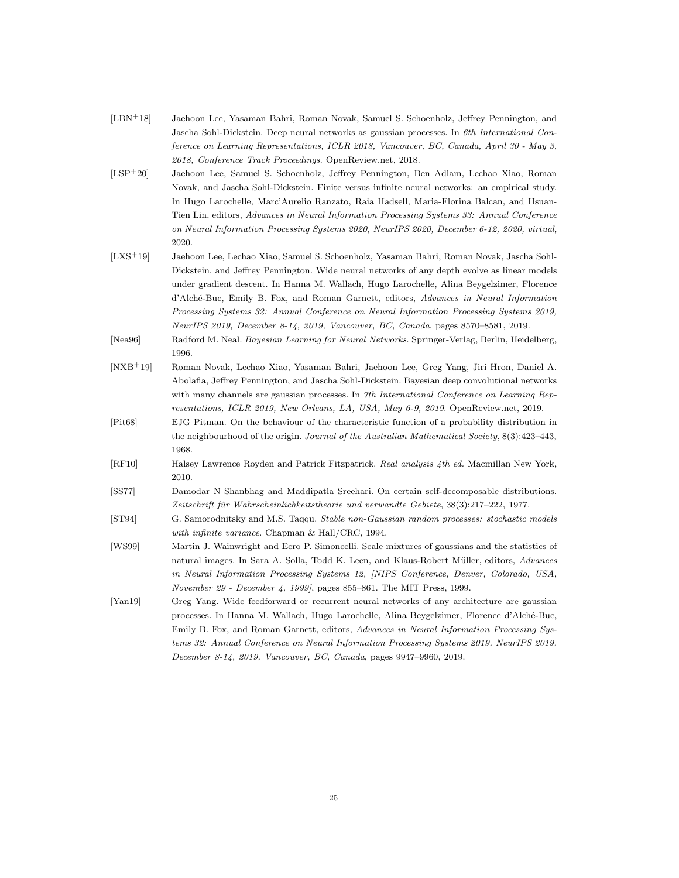<span id="page-24-1"></span>

| $[LBN+18]$ | Jaehoon Lee, Yasaman Bahri, Roman Novak, Samuel S. Schoenholz, Jeffrey Pennington, and       |
|------------|----------------------------------------------------------------------------------------------|
|            | Jascha Sohl-Dickstein. Deep neural networks as gaussian processes. In 6th International Con- |
|            | ference on Learning Representations, ICLR 2018, Vancouver, BC, Canada, April 30 - May 3,     |
|            | 2018, Conference Track Proceedings. OpenReview.net, 2018.                                    |

- <span id="page-24-5"></span>[LSP+20] Jaehoon Lee, Samuel S. Schoenholz, Jeffrey Pennington, Ben Adlam, Lechao Xiao, Roman Novak, and Jascha Sohl-Dickstein. Finite versus infinite neural networks: an empirical study. In Hugo Larochelle, Marc'Aurelio Ranzato, Raia Hadsell, Maria-Florina Balcan, and Hsuan-Tien Lin, editors, *Advances in Neural Information Processing Systems 33: Annual Conference on Neural Information Processing Systems 2020, NeurIPS 2020, December 6-12, 2020, virtual*, 2020.
- <span id="page-24-4"></span>[LXS+19] Jaehoon Lee, Lechao Xiao, Samuel S. Schoenholz, Yasaman Bahri, Roman Novak, Jascha Sohl-Dickstein, and Jeffrey Pennington. Wide neural networks of any depth evolve as linear models under gradient descent. In Hanna M. Wallach, Hugo Larochelle, Alina Beygelzimer, Florence d'Alch´e-Buc, Emily B. Fox, and Roman Garnett, editors, *Advances in Neural Information Processing Systems 32: Annual Conference on Neural Information Processing Systems 2019, NeurIPS 2019, December 8-14, 2019, Vancouver, BC, Canada*, pages 8570–8581, 2019.
- <span id="page-24-0"></span>[Nea96] Radford M. Neal. *Bayesian Learning for Neural Networks*. Springer-Verlag, Berlin, Heidelberg, 1996.
- <span id="page-24-2"></span>[NXB+19] Roman Novak, Lechao Xiao, Yasaman Bahri, Jaehoon Lee, Greg Yang, Jiri Hron, Daniel A. Abolafia, Jeffrey Pennington, and Jascha Sohl-Dickstein. Bayesian deep convolutional networks with many channels are gaussian processes. In *7th International Conference on Learning Representations, ICLR 2019, New Orleans, LA, USA, May 6-9, 2019*. OpenReview.net, 2019.
- <span id="page-24-10"></span>[Pit68] EJG Pitman. On the behaviour of the characteristic function of a probability distribution in the neighbourhood of the origin. *Journal of the Australian Mathematical Society*, 8(3):423–443, 1968.
- <span id="page-24-8"></span>[RF10] Halsey Lawrence Royden and Patrick Fitzpatrick. *Real analysis 4th ed.* Macmillan New York, 2010.
- <span id="page-24-9"></span>[SS77] Damodar N Shanbhag and Maddipatla Sreehari. On certain self-decomposable distributions. Zeitschrift für Wahrscheinlichkeitstheorie und verwandte Gebiete, 38(3):217–222, 1977.
- <span id="page-24-7"></span>[ST94] G. Samorodnitsky and M.S. Taqqu. *Stable non-Gaussian random processes: stochastic models with infinite variance*. Chapman & Hall/CRC, 1994.
- <span id="page-24-6"></span>[WS99] Martin J. Wainwright and Eero P. Simoncelli. Scale mixtures of gaussians and the statistics of natural images. In Sara A. Solla, Todd K. Leen, and Klaus-Robert M¨uller, editors, *Advances in Neural Information Processing Systems 12, [NIPS Conference, Denver, Colorado, USA, November 29 - December 4, 1999]*, pages 855–861. The MIT Press, 1999.
- <span id="page-24-3"></span>[Yan19] Greg Yang. Wide feedforward or recurrent neural networks of any architecture are gaussian processes. In Hanna M. Wallach, Hugo Larochelle, Alina Beygelzimer, Florence d'Alché-Buc, Emily B. Fox, and Roman Garnett, editors, *Advances in Neural Information Processing Systems 32: Annual Conference on Neural Information Processing Systems 2019, NeurIPS 2019, December 8-14, 2019, Vancouver, BC, Canada*, pages 9947–9960, 2019.